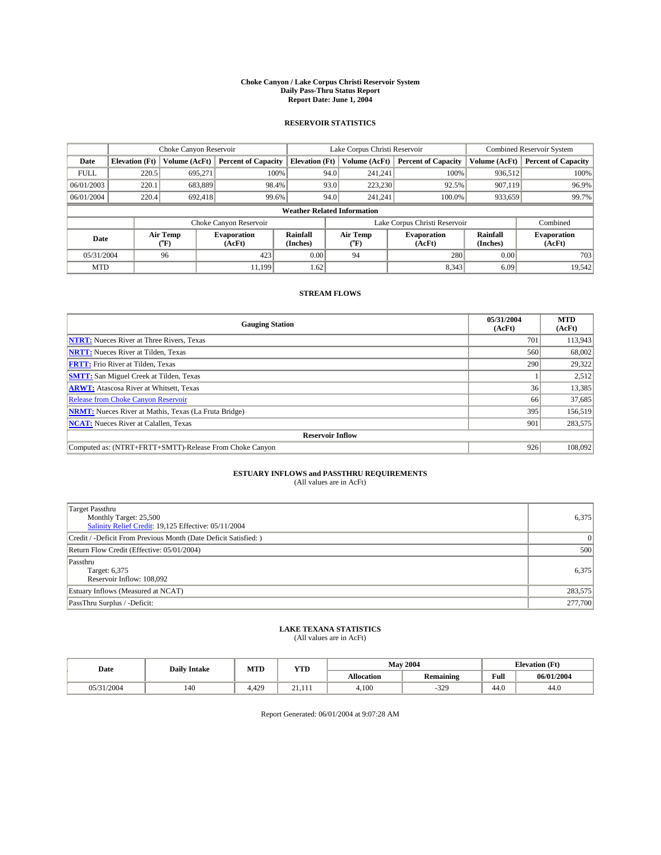#### **Choke Canyon / Lake Corpus Christi Reservoir System Daily Pass-Thru Status Report Report Date: June 1, 2004**

#### **RESERVOIR STATISTICS**

|             | Choke Canyon Reservoir             |                             |                              |                             |      | Lake Corpus Christi Reservoir | <b>Combined Reservoir System</b> |                      |                              |
|-------------|------------------------------------|-----------------------------|------------------------------|-----------------------------|------|-------------------------------|----------------------------------|----------------------|------------------------------|
| Date        | <b>Elevation</b> (Ft)              | Volume (AcFt)               | <b>Percent of Capacity</b>   | <b>Elevation</b> (Ft)       |      | Volume (AcFt)                 | <b>Percent of Capacity</b>       | Volume (AcFt)        | <b>Percent of Capacity</b>   |
| <b>FULL</b> | 220.5                              | 695,271                     |                              | 100%                        | 94.0 | 241,241                       | 100%                             | 936.512              | 100%                         |
| 06/01/2003  | 220.1                              | 683,889                     | 98.4%                        |                             | 93.0 | 223,230                       | 92.5%                            | 907.119              | 96.9%                        |
| 06/01/2004  | 220.4                              | 692,418                     | 99.6%                        |                             | 94.0 | 241.241                       | $100.0\%$                        | 933,659              | 99.7%                        |
|             | <b>Weather Related Information</b> |                             |                              |                             |      |                               |                                  |                      |                              |
|             |                                    |                             | Choke Canyon Reservoir       |                             |      |                               | Lake Corpus Christi Reservoir    |                      | Combined                     |
| Date        |                                    | Air Temp<br>${}^{\circ}$ F) | <b>Evaporation</b><br>(AcFt) | <b>Rainfall</b><br>(Inches) |      | Air Temp<br>("F)              | <b>Evaporation</b><br>(AcFt)     | Rainfall<br>(Inches) | <b>Evaporation</b><br>(AcFt) |
| 05/31/2004  |                                    | 96                          | 423                          | 0.00                        |      | 94                            | 280                              | 0.00                 | 703                          |
| <b>MTD</b>  |                                    |                             | 11,199                       | 1.62                        |      |                               | 8,343                            | 6.09                 | 19,542                       |

### **STREAM FLOWS**

| <b>Gauging Station</b>                                       | 05/31/2004<br>(AcFt) | <b>MTD</b><br>(AcFt) |  |  |  |  |  |  |
|--------------------------------------------------------------|----------------------|----------------------|--|--|--|--|--|--|
| <b>NTRT:</b> Nueces River at Three Rivers, Texas             | 701                  | 113,943              |  |  |  |  |  |  |
| <b>NRTT:</b> Nueces River at Tilden, Texas                   | 560                  | 68,002               |  |  |  |  |  |  |
| <b>FRTT:</b> Frio River at Tilden, Texas                     | 290                  | 29,322               |  |  |  |  |  |  |
| <b>SMTT:</b> San Miguel Creek at Tilden, Texas               |                      | 2,512                |  |  |  |  |  |  |
| <b>ARWT:</b> Atascosa River at Whitsett, Texas               | 36                   | 13,385               |  |  |  |  |  |  |
| <b>Release from Choke Canyon Reservoir</b>                   | 66                   | 37,685               |  |  |  |  |  |  |
| <b>NRMT:</b> Nueces River at Mathis, Texas (La Fruta Bridge) | 395                  | 156,519              |  |  |  |  |  |  |
| <b>NCAT:</b> Nueces River at Calallen, Texas                 | 901                  | 283,575              |  |  |  |  |  |  |
| <b>Reservoir Inflow</b>                                      |                      |                      |  |  |  |  |  |  |
| Computed as: (NTRT+FRTT+SMTT)-Release From Choke Canyon      | 926                  | 108,092              |  |  |  |  |  |  |

### **ESTUARY INFLOWS and PASSTHRU REQUIREMENTS**<br>(All values are in AcFt)

| <b>Target Passthru</b><br>Monthly Target: 25,500<br>Salinity Relief Credit: 19,125 Effective: 05/11/2004 | 6,375          |
|----------------------------------------------------------------------------------------------------------|----------------|
| Credit / -Deficit From Previous Month (Date Deficit Satisfied: )                                         | $\overline{0}$ |
| Return Flow Credit (Effective: 05/01/2004)                                                               | 500            |
| Passthru<br>Target: 6,375<br>Reservoir Inflow: 108,092                                                   | 6,375          |
| Estuary Inflows (Measured at NCAT)                                                                       | 283,575        |
| PassThru Surplus / -Deficit:                                                                             | 277,700        |

## **LAKE TEXANA STATISTICS** (All values are in AcFt)

| Date       | <b>Daily Intake</b> | MTD   | <b>YTD</b>              |                   | <b>May 2004</b>  | <b>Elevation</b> (Ft) |            |
|------------|---------------------|-------|-------------------------|-------------------|------------------|-----------------------|------------|
|            |                     |       |                         | <b>Allocation</b> | <b>Remaining</b> | T.<br>Full            | 06/01/2004 |
| 05/31/2004 | 140                 | 4.429 | $\sim$<br>111<br>21.111 | 4,100             | $-329$           | 44.0                  | 44.U       |

Report Generated: 06/01/2004 at 9:07:28 AM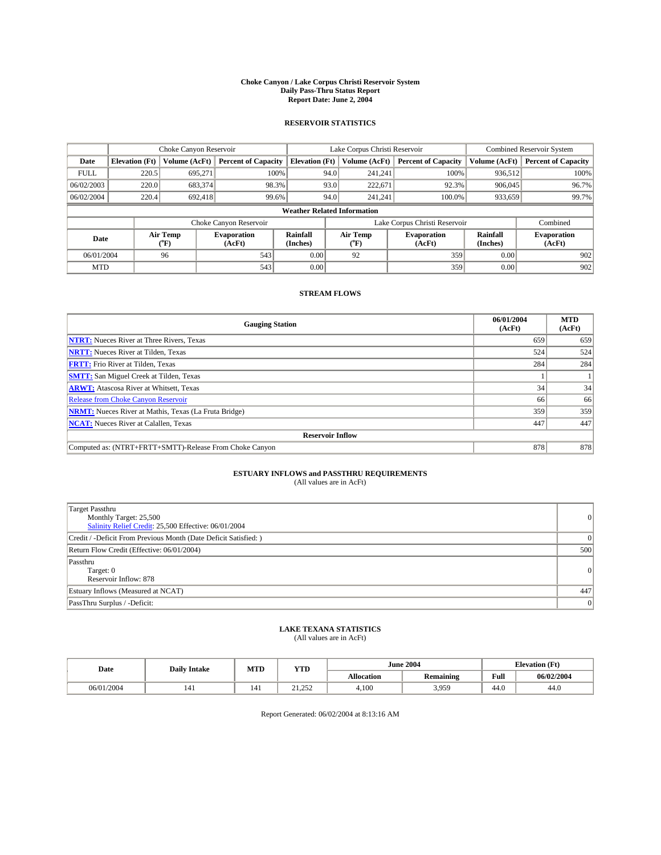#### **Choke Canyon / Lake Corpus Christi Reservoir System Daily Pass-Thru Status Report Report Date: June 2, 2004**

#### **RESERVOIR STATISTICS**

|                                    | Choke Canyon Reservoir |                             |                              |                             | Lake Corpus Christi Reservoir |                  |                               |                      | <b>Combined Reservoir System</b> |  |  |
|------------------------------------|------------------------|-----------------------------|------------------------------|-----------------------------|-------------------------------|------------------|-------------------------------|----------------------|----------------------------------|--|--|
| Date                               | <b>Elevation</b> (Ft)  | Volume (AcFt)               | <b>Percent of Capacity</b>   | <b>Elevation</b> (Ft)       |                               | Volume (AcFt)    | <b>Percent of Capacity</b>    | Volume (AcFt)        | <b>Percent of Capacity</b>       |  |  |
| <b>FULL</b>                        | 220.5                  | 695,271                     | 100%                         |                             | 94.0                          | 241,241          | 100%                          | 936.512              | 100%                             |  |  |
| 06/02/2003                         | 220.0                  | 683,374                     | 98.3%                        |                             | 93.0                          | 222.671          | 92.3%                         | 906,045              | 96.7%                            |  |  |
| 06/02/2004                         | 220.4                  | 692,418                     | 99.6%                        |                             | 94.0                          | 241.241          | $100.0\%$                     | 933,659              | 99.7%                            |  |  |
| <b>Weather Related Information</b> |                        |                             |                              |                             |                               |                  |                               |                      |                                  |  |  |
|                                    |                        |                             | Choke Canyon Reservoir       |                             |                               |                  | Lake Corpus Christi Reservoir |                      | Combined                         |  |  |
| Date                               |                        | Air Temp<br>${}^{\circ}$ F) | <b>Evaporation</b><br>(AcFt) | <b>Rainfall</b><br>(Inches) |                               | Air Temp<br>("F) | <b>Evaporation</b><br>(AcFt)  | Rainfall<br>(Inches) | <b>Evaporation</b><br>(AcFt)     |  |  |
| 06/01/2004                         |                        | 96                          | 543                          | 0.00                        |                               | 92               | 359                           | 0.00                 | 902                              |  |  |
| <b>MTD</b>                         |                        |                             | 543                          | 0.00                        |                               |                  | 359                           | 0.00                 | 902                              |  |  |

### **STREAM FLOWS**

| <b>Gauging Station</b>                                       | 06/01/2004<br>(AcFt) | <b>MTD</b><br>(AcFt) |  |  |  |  |  |
|--------------------------------------------------------------|----------------------|----------------------|--|--|--|--|--|
| <b>NTRT:</b> Nueces River at Three Rivers, Texas             | 659                  | 659                  |  |  |  |  |  |
| <b>NRTT:</b> Nueces River at Tilden, Texas                   | 524                  | 524                  |  |  |  |  |  |
| <b>FRTT:</b> Frio River at Tilden, Texas                     | 284                  | 284                  |  |  |  |  |  |
| <b>SMTT:</b> San Miguel Creek at Tilden, Texas               |                      |                      |  |  |  |  |  |
| <b>ARWT:</b> Atascosa River at Whitsett, Texas               | 34                   | 34                   |  |  |  |  |  |
| <b>Release from Choke Canyon Reservoir</b>                   | 66                   | 66                   |  |  |  |  |  |
| <b>NRMT:</b> Nueces River at Mathis, Texas (La Fruta Bridge) | 359                  | 359                  |  |  |  |  |  |
| <b>NCAT:</b> Nueces River at Calallen, Texas                 | 447                  | 447                  |  |  |  |  |  |
| <b>Reservoir Inflow</b>                                      |                      |                      |  |  |  |  |  |
| Computed as: (NTRT+FRTT+SMTT)-Release From Choke Canyon      | 878                  | 878                  |  |  |  |  |  |

## **ESTUARY INFLOWS and PASSTHRU REQUIREMENTS**<br>(All values are in AcFt)

| Target Passthru<br>Monthly Target: 25,500<br>Salinity Relief Credit: 25,500 Effective: 06/01/2004 | $\overline{0}$ |
|---------------------------------------------------------------------------------------------------|----------------|
| Credit / -Deficit From Previous Month (Date Deficit Satisfied: )                                  |                |
| Return Flow Credit (Effective: 06/01/2004)                                                        | 500            |
| Passthru<br>Target: 0<br>Reservoir Inflow: 878                                                    | $\Omega$       |
| Estuary Inflows (Measured at NCAT)                                                                | 447            |
| PassThru Surplus / -Deficit:                                                                      | 0              |

## **LAKE TEXANA STATISTICS** (All values are in AcFt)

| Date       | <b>Daily Intake</b> | MTD | YTD            |                   | <b>June 2004</b>             | <b>Elevation</b> (Ft) |            |
|------------|---------------------|-----|----------------|-------------------|------------------------------|-----------------------|------------|
|            |                     |     |                | <b>Allocation</b> | $\cdots$<br><b>Remaining</b> | Full                  | 06/02/2004 |
| 06/01/2004 | 141                 | 141 | 250<br>ے رے۔ و | 4,100             | 3,959                        | . .<br>44.V           | 44.0       |

Report Generated: 06/02/2004 at 8:13:16 AM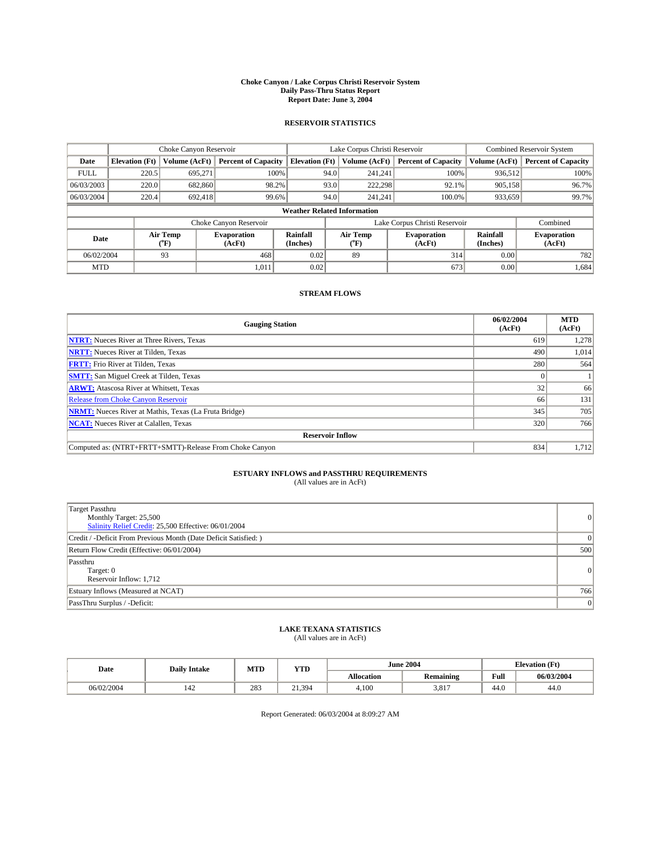#### **Choke Canyon / Lake Corpus Christi Reservoir System Daily Pass-Thru Status Report Report Date: June 3, 2004**

#### **RESERVOIR STATISTICS**

|             | Choke Canyon Reservoir             |                             |                              |                             | Lake Corpus Christi Reservoir |                  |                               |                      | <b>Combined Reservoir System</b> |  |  |
|-------------|------------------------------------|-----------------------------|------------------------------|-----------------------------|-------------------------------|------------------|-------------------------------|----------------------|----------------------------------|--|--|
| Date        | <b>Elevation</b> (Ft)              | Volume (AcFt)               | <b>Percent of Capacity</b>   | <b>Elevation</b> (Ft)       |                               | Volume (AcFt)    | <b>Percent of Capacity</b>    | Volume (AcFt)        | <b>Percent of Capacity</b>       |  |  |
| <b>FULL</b> | 220.5                              | 695,271                     | 100%                         |                             | 94.0                          | 241,241          | 100%                          | 936.512              | 100%                             |  |  |
| 06/03/2003  | 220.0                              | 682,860                     | 98.2%                        |                             | 93.0                          | 222,298          | $92.1\%$                      | 905,158              | 96.7%                            |  |  |
| 06/03/2004  | 220.4                              | 692,418                     | 99.6%                        |                             | 94.0                          | 241.241          | $100.0\%$                     | 933,659              | 99.7%                            |  |  |
|             | <b>Weather Related Information</b> |                             |                              |                             |                               |                  |                               |                      |                                  |  |  |
|             |                                    |                             | Choke Canyon Reservoir       |                             |                               |                  | Lake Corpus Christi Reservoir |                      | Combined                         |  |  |
| Date        |                                    | Air Temp<br>${}^{\circ}$ F) | <b>Evaporation</b><br>(AcFt) | <b>Rainfall</b><br>(Inches) |                               | Air Temp<br>("F) | <b>Evaporation</b><br>(AcFt)  | Rainfall<br>(Inches) | <b>Evaporation</b><br>(AcFt)     |  |  |
| 06/02/2004  |                                    | 93                          | 468                          | 0.02                        |                               | 89               | 314                           | 0.00                 | 782                              |  |  |
| <b>MTD</b>  |                                    |                             | 1,011                        | 0.02                        |                               |                  | 673                           | 0.00                 | 1,684                            |  |  |

### **STREAM FLOWS**

| <b>Gauging Station</b>                                       | 06/02/2004<br>(AcFt) | <b>MTD</b><br>(AcFt) |
|--------------------------------------------------------------|----------------------|----------------------|
| <b>NTRT:</b> Nueces River at Three Rivers, Texas             | 619                  | 1,278                |
| <b>NRTT:</b> Nueces River at Tilden, Texas                   | 490                  | 1,014                |
| <b>FRTT:</b> Frio River at Tilden, Texas                     | 280                  | 564                  |
| <b>SMTT:</b> San Miguel Creek at Tilden, Texas               |                      |                      |
| <b>ARWT:</b> Atascosa River at Whitsett, Texas               | 32 <sub>1</sub>      | 66                   |
| <b>Release from Choke Canyon Reservoir</b>                   | 66                   | 131                  |
| <b>NRMT:</b> Nueces River at Mathis, Texas (La Fruta Bridge) | 345                  | 705                  |
| <b>NCAT:</b> Nueces River at Calallen, Texas                 | 320                  | 766                  |
| <b>Reservoir Inflow</b>                                      |                      |                      |
| Computed as: (NTRT+FRTT+SMTT)-Release From Choke Canyon      | 834                  | 1,712                |

## **ESTUARY INFLOWS and PASSTHRU REQUIREMENTS**<br>(All values are in AcFt)

| Target Passthru<br>Monthly Target: 25,500<br>Salinity Relief Credit: 25,500 Effective: 06/01/2004 | $\overline{0}$ |
|---------------------------------------------------------------------------------------------------|----------------|
| Credit / -Deficit From Previous Month (Date Deficit Satisfied: )                                  |                |
| Return Flow Credit (Effective: 06/01/2004)                                                        | 500            |
| Passthru<br>Target: 0<br>Reservoir Inflow: 1,712                                                  | $\overline{0}$ |
| Estuary Inflows (Measured at NCAT)                                                                | 766            |
| PassThru Surplus / -Deficit:                                                                      | 0              |

## **LAKE TEXANA STATISTICS** (All values are in AcFt)

| Date       | <b>Daily Intake</b> | MTD | <b>YTD</b> |                   | <b>June 2004</b> |                | <b>Elevation</b> (Ft) |  |
|------------|---------------------|-----|------------|-------------------|------------------|----------------|-----------------------|--|
|            |                     |     |            | <b>Allocation</b> | <b>Remaining</b> | Full           | 06/03/2004            |  |
| 06/02/2004 | 142                 | 283 | 21,394     | 4,100             | 3.817            | $\sim$<br>44.V | 44.0                  |  |

Report Generated: 06/03/2004 at 8:09:27 AM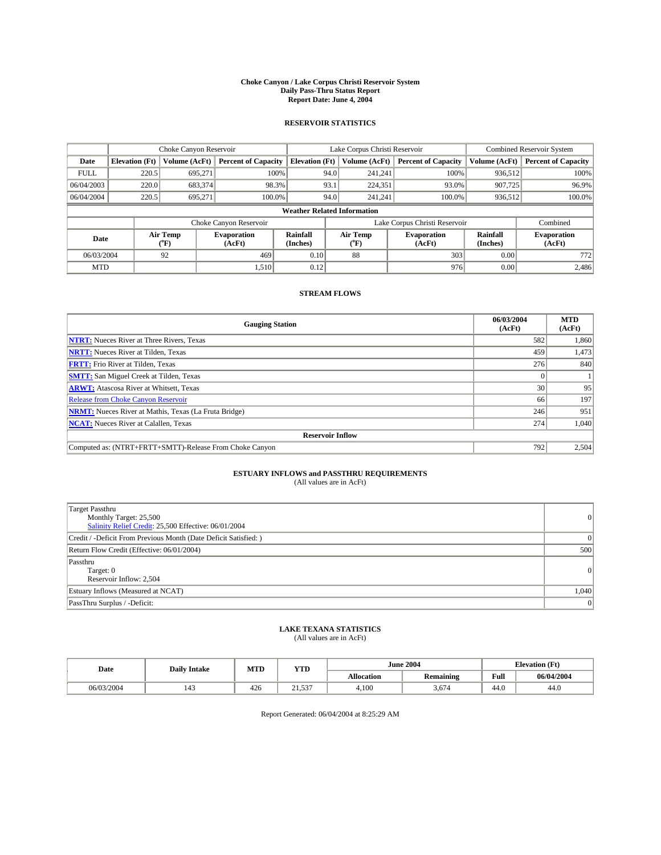#### **Choke Canyon / Lake Corpus Christi Reservoir System Daily Pass-Thru Status Report Report Date: June 4, 2004**

#### **RESERVOIR STATISTICS**

|             | Choke Canyon Reservoir             |                  | Lake Corpus Christi Reservoir |                       |      |                  | <b>Combined Reservoir System</b> |                      |                              |  |  |
|-------------|------------------------------------|------------------|-------------------------------|-----------------------|------|------------------|----------------------------------|----------------------|------------------------------|--|--|
| Date        | <b>Elevation</b> (Ft)              | Volume (AcFt)    | <b>Percent of Capacity</b>    | <b>Elevation (Ft)</b> |      | Volume (AcFt)    | <b>Percent of Capacity</b>       | Volume (AcFt)        | <b>Percent of Capacity</b>   |  |  |
| <b>FULL</b> | 220.5                              | 695,271          | 100%                          |                       | 94.0 | 241,241          | 100%                             | 936.512              | 100%                         |  |  |
| 06/04/2003  | 220.0                              | 683,374          | 98.3%                         |                       | 93.1 | 224,351          | 93.0%                            | 907.725              | 96.9%                        |  |  |
| 06/04/2004  | 220.5                              | 695.271          | 100.0%                        |                       | 94.0 | 241.241          | $100.0\%$                        | 936,512              | 100.0%                       |  |  |
|             | <b>Weather Related Information</b> |                  |                               |                       |      |                  |                                  |                      |                              |  |  |
|             |                                    |                  | Choke Canyon Reservoir        |                       |      |                  | Lake Corpus Christi Reservoir    |                      | Combined                     |  |  |
| Date        |                                    | Air Temp<br>(°F) | <b>Evaporation</b><br>(AcFt)  | Rainfall<br>(Inches)  |      | Air Temp<br>("F) | <b>Evaporation</b><br>(AcFt)     | Rainfall<br>(Inches) | <b>Evaporation</b><br>(AcFt) |  |  |
| 06/03/2004  |                                    | 92               | 469                           | 0.10                  |      | 88               | 303                              | 0.00                 | 772                          |  |  |
| <b>MTD</b>  |                                    |                  | 1,510                         | 0.12                  |      |                  | 976                              | 0.00                 | 2,486                        |  |  |

### **STREAM FLOWS**

| <b>Gauging Station</b>                                       | 06/03/2004<br>(AcFt) | <b>MTD</b><br>(AcFt) |
|--------------------------------------------------------------|----------------------|----------------------|
| <b>NTRT:</b> Nueces River at Three Rivers, Texas             | 582                  | 1,860                |
| <b>NRTT:</b> Nueces River at Tilden, Texas                   | 459                  | 1,473                |
| <b>FRTT:</b> Frio River at Tilden, Texas                     | 276                  | 840                  |
| <b>SMTT:</b> San Miguel Creek at Tilden, Texas               |                      |                      |
| <b>ARWT:</b> Atascosa River at Whitsett, Texas               | 30 <sup>1</sup>      | 95                   |
| <b>Release from Choke Canyon Reservoir</b>                   | 66                   | 197                  |
| <b>NRMT:</b> Nueces River at Mathis, Texas (La Fruta Bridge) | 246                  | 951                  |
| <b>NCAT:</b> Nueces River at Calallen, Texas                 | 274                  | 1,040                |
| <b>Reservoir Inflow</b>                                      |                      |                      |
| Computed as: (NTRT+FRTT+SMTT)-Release From Choke Canyon      | 792                  | 2,504                |

### **ESTUARY INFLOWS and PASSTHRU REQUIREMENTS**<br>(All values are in AcFt)

| Target Passthru<br>Monthly Target: 25,500<br>Salinity Relief Credit: 25,500 Effective: 06/01/2004 | $\overline{0}$ |
|---------------------------------------------------------------------------------------------------|----------------|
| Credit / -Deficit From Previous Month (Date Deficit Satisfied: )                                  | $\Omega$       |
| Return Flow Credit (Effective: 06/01/2004)                                                        | 500            |
| Passthru<br>Target: 0<br>Reservoir Inflow: 2,504                                                  | $\overline{0}$ |
| Estuary Inflows (Measured at NCAT)                                                                | 1,040          |
| PassThru Surplus / -Deficit:                                                                      | $\overline{0}$ |

## **LAKE TEXANA STATISTICS** (All values are in AcFt)

| Date       | <b>Daily Intake</b> | MTD | <b>YTD</b>                      |                   | <b>June 2004</b>                         |                | <b>Elevation (Ft)</b> |
|------------|---------------------|-----|---------------------------------|-------------------|------------------------------------------|----------------|-----------------------|
|            |                     |     |                                 | <b>Allocation</b> | $\ddot{\phantom{a}}$<br><b>Remaining</b> | Full           | 06/04/2004            |
| 06/03/2004 | 143                 | 426 | $\sim$<br>$^{\sim}$<br><u>_</u> | 4,100             | 5,674                                    | $\sim$<br>44.v | 44.0                  |

Report Generated: 06/04/2004 at 8:25:29 AM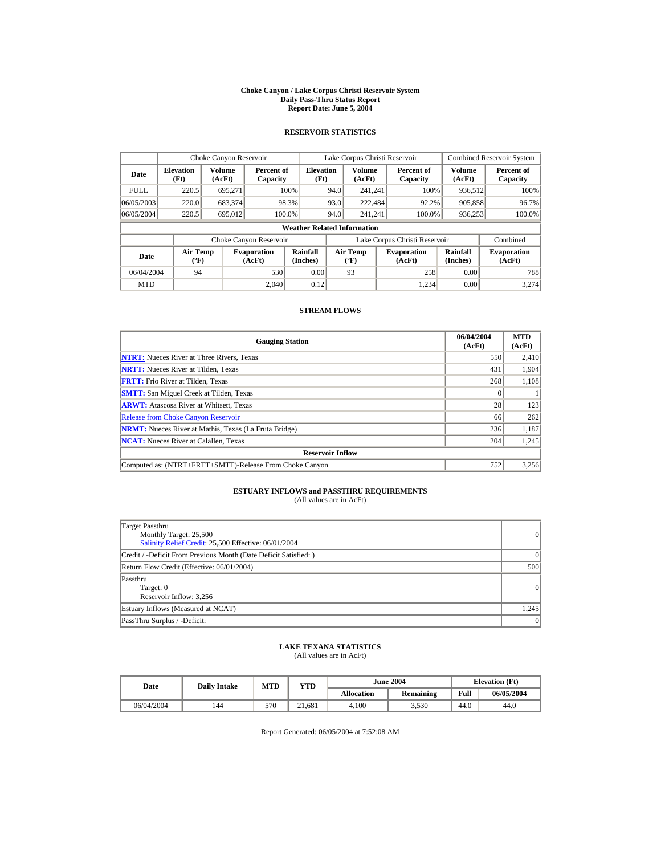#### **Choke Canyon / Lake Corpus Christi Reservoir System Daily Pass-Thru Status Report Report Date: June 5, 2004**

### **RESERVOIR STATISTICS**

|                                                                 | Choke Canyon Reservoir             |                         |                                                                           |                          | Lake Corpus Christi Reservoir |                         |                              |                               |                  | <b>Combined Reservoir System</b> |  |
|-----------------------------------------------------------------|------------------------------------|-------------------------|---------------------------------------------------------------------------|--------------------------|-------------------------------|-------------------------|------------------------------|-------------------------------|------------------|----------------------------------|--|
| Date                                                            | <b>Elevation</b><br>(Ft)           | <b>Volume</b><br>(AcFt) | Percent of<br>Capacity                                                    | <b>Elevation</b><br>(Ft) |                               | <b>Volume</b><br>(AcFt) |                              | Percent of<br>Capacity        | Volume<br>(AcFt) | Percent of<br>Capacity           |  |
| <b>FULL</b>                                                     | 220.5                              | 695.271                 | 100%                                                                      |                          | 94.0                          | 241,241                 |                              | 100%                          | 936,512          | 100%                             |  |
| 06/05/2003                                                      | 220.0                              | 683,374                 | 98.3%                                                                     |                          | 93.0                          | 222.484                 |                              | 92.2%                         | 905,858          | 96.7%                            |  |
| 06/05/2004                                                      | 220.5                              | 695,012                 | 100.0%                                                                    |                          | 94.0                          | 241.241                 |                              | 100.0%                        | 936,253          | 100.0%                           |  |
|                                                                 | <b>Weather Related Information</b> |                         |                                                                           |                          |                               |                         |                              |                               |                  |                                  |  |
|                                                                 |                                    |                         | Choke Canyon Reservoir                                                    |                          |                               |                         |                              | Lake Corpus Christi Reservoir |                  | Combined                         |  |
| <b>Air Temp</b><br><b>Evaporation</b><br>Date<br>(°F)<br>(AcFt) |                                    | Rainfall<br>(Inches)    | <b>Air Temp</b><br><b>Evaporation</b><br>$({}^{\circ}\text{F})$<br>(AcFt) |                          |                               | Rainfall<br>(Inches)    | <b>Evaporation</b><br>(AcFt) |                               |                  |                                  |  |
| 06/04/2004                                                      | 94                                 |                         | 530                                                                       | 0.00                     | 93                            |                         |                              | 258                           | 0.00             | 788                              |  |
| <b>MTD</b>                                                      |                                    |                         | 2.040                                                                     | 0.12                     |                               |                         |                              | 1.234                         | 0.00             | 3.274                            |  |

#### **STREAM FLOWS**

| <b>Gauging Station</b>                                       | 06/04/2004<br>(AcFt) | <b>MTD</b><br>(AcFt) |
|--------------------------------------------------------------|----------------------|----------------------|
| <b>NTRT:</b> Nueces River at Three Rivers, Texas             | 550                  | 2,410                |
| <b>NRTT:</b> Nueces River at Tilden. Texas                   | 431                  | 1,904                |
| <b>FRTT:</b> Frio River at Tilden, Texas                     | 268                  | 1,108                |
| <b>SMTT:</b> San Miguel Creek at Tilden, Texas               |                      |                      |
| <b>ARWT:</b> Atascosa River at Whitsett, Texas               | 28                   | 123                  |
| <b>Release from Choke Canyon Reservoir</b>                   | 66                   | 262                  |
| <b>NRMT:</b> Nueces River at Mathis, Texas (La Fruta Bridge) | 236                  | 1,187                |
| <b>NCAT:</b> Nueces River at Calallen, Texas                 | 204                  | 1,245                |
| <b>Reservoir Inflow</b>                                      |                      |                      |
| Computed as: (NTRT+FRTT+SMTT)-Release From Choke Canyon      | 752                  | 3,256                |

## **ESTUARY INFLOWS and PASSTHRU REQUIREMENTS**<br>(All values are in AcFt)

| Target Passthru<br>Monthly Target: 25,500<br>Salinity Relief Credit: 25,500 Effective: 06/01/2004 | $\mathbf{0}$ |
|---------------------------------------------------------------------------------------------------|--------------|
| Credit / -Deficit From Previous Month (Date Deficit Satisfied: )                                  | $\Omega$     |
| Return Flow Credit (Effective: 06/01/2004)                                                        | 500          |
| Passthru<br>Target: 0<br>Reservoir Inflow: 3,256                                                  | 0            |
| Estuary Inflows (Measured at NCAT)                                                                | 1.245        |
| PassThru Surplus / -Deficit:                                                                      | $\vert$ 0    |

### **LAKE TEXANA STATISTICS** (All values are in AcFt)

| Date       | <b>Daily Intake</b> | <b>MTD</b> | YTD    |            | <b>June 2004</b> |      | <b>Elevation</b> (Ft) |
|------------|---------------------|------------|--------|------------|------------------|------|-----------------------|
|            |                     |            |        | Allocation | <b>Remaining</b> | Full | 06/05/2004            |
| 06/04/2004 | 144                 | 570        | 21.681 | 4.100      | 3.530            | 44.0 | 44.0                  |

Report Generated: 06/05/2004 at 7:52:08 AM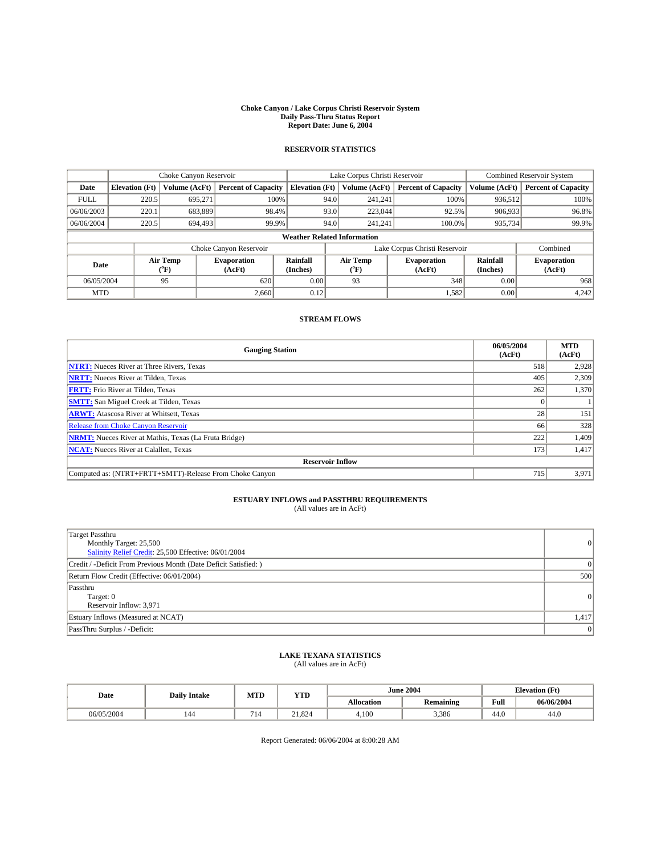#### **Choke Canyon / Lake Corpus Christi Reservoir System Daily Pass-Thru Status Report Report Date: June 6, 2004**

### **RESERVOIR STATISTICS**

|             | Choke Canyon Reservoir             |                  |                              |                       | Lake Corpus Christi Reservoir |                         |                               |                      | Combined Reservoir System    |  |  |
|-------------|------------------------------------|------------------|------------------------------|-----------------------|-------------------------------|-------------------------|-------------------------------|----------------------|------------------------------|--|--|
| Date        | <b>Elevation</b> (Ft)              | Volume (AcFt)    | <b>Percent of Capacity</b>   | <b>Elevation</b> (Ft) |                               | Volume (AcFt)           | <b>Percent of Capacity</b>    | Volume (AcFt)        | <b>Percent of Capacity</b>   |  |  |
| <b>FULL</b> | 220.5                              | 695,271          | 100%                         |                       | 94.0                          | 241,241                 | 100%                          | 936,512              | 100%                         |  |  |
| 06/06/2003  | 220.1                              | 683,889          | 98.4%                        |                       | 93.0                          | 223,044                 | 92.5%                         | 906.933              | 96.8%                        |  |  |
| 06/06/2004  | 220.5                              | 694,493          | 99.9%                        |                       | 94.0                          | 241,241                 | 100.0%                        | 935,734              | 99.9%                        |  |  |
|             | <b>Weather Related Information</b> |                  |                              |                       |                               |                         |                               |                      |                              |  |  |
|             |                                    |                  | Choke Canyon Reservoir       |                       |                               |                         | Lake Corpus Christi Reservoir |                      | Combined                     |  |  |
| Date        |                                    | Air Temp<br>(°F) | <b>Evaporation</b><br>(AcFt) | Rainfall<br>(Inches)  |                               | <b>Air Temp</b><br>("F) | <b>Evaporation</b><br>(AcFt)  | Rainfall<br>(Inches) | <b>Evaporation</b><br>(AcFt) |  |  |
| 06/05/2004  |                                    | 95               | 620                          | 0.00                  |                               | 93                      | 348                           | 0.00                 | 968                          |  |  |
| <b>MTD</b>  |                                    |                  | 2,660                        | 0.12                  |                               |                         | 1,582                         | 0.00                 | 4,242                        |  |  |

#### **STREAM FLOWS**

| <b>Gauging Station</b>                                       | 06/05/2004<br>(AcFt) | <b>MTD</b><br>(AcFt) |
|--------------------------------------------------------------|----------------------|----------------------|
| <b>NTRT:</b> Nueces River at Three Rivers, Texas             | 518                  | 2,928                |
| <b>NRTT:</b> Nueces River at Tilden, Texas                   | 405                  | 2,309                |
| <b>FRTT:</b> Frio River at Tilden, Texas                     | 262                  | 1,370                |
| <b>SMTT:</b> San Miguel Creek at Tilden, Texas               |                      |                      |
| <b>ARWT:</b> Atascosa River at Whitsett, Texas               | 28                   | 151                  |
| <b>Release from Choke Canyon Reservoir</b>                   | 66                   | 328                  |
| <b>NRMT:</b> Nueces River at Mathis, Texas (La Fruta Bridge) | 222                  | 1,409                |
| <b>NCAT:</b> Nueces River at Calallen, Texas                 | 173                  | 1,417                |
| <b>Reservoir Inflow</b>                                      |                      |                      |
| Computed as: (NTRT+FRTT+SMTT)-Release From Choke Canyon      | 715                  | 3,971                |

### **ESTUARY INFLOWS and PASSTHRU REQUIREMENTS**<br>(All values are in AcFt)

| <b>Target Passthru</b>                                           |          |
|------------------------------------------------------------------|----------|
| Monthly Target: 25,500                                           | 0        |
| Salinity Relief Credit: 25,500 Effective: 06/01/2004             |          |
| Credit / -Deficit From Previous Month (Date Deficit Satisfied: ) | $\Omega$ |
| Return Flow Credit (Effective: 06/01/2004)                       | 500      |
| Passthru                                                         |          |
| Target: 0                                                        | 0        |
| Reservoir Inflow: 3,971                                          |          |
| Estuary Inflows (Measured at NCAT)                               | 1,417    |
| PassThru Surplus / -Deficit:                                     | 0        |

## **LAKE TEXANA STATISTICS** (All values are in AcFt)

| Date       | <b>Daily Intake</b> | MTD            | <b>YTD</b>         |                   | <b>June 2004</b> | <b>Elevation</b> (Ft) |            |
|------------|---------------------|----------------|--------------------|-------------------|------------------|-----------------------|------------|
|            |                     |                |                    | <b>Allocation</b> | <b>Remaining</b> | Full                  | 06/06/2004 |
| 06/05/2004 | 144                 | 1 <sup>2</sup> | $\sim$ 1<br>21.824 | 4.100             | 3.386            | 44.0                  | 44.0       |

Report Generated: 06/06/2004 at 8:00:28 AM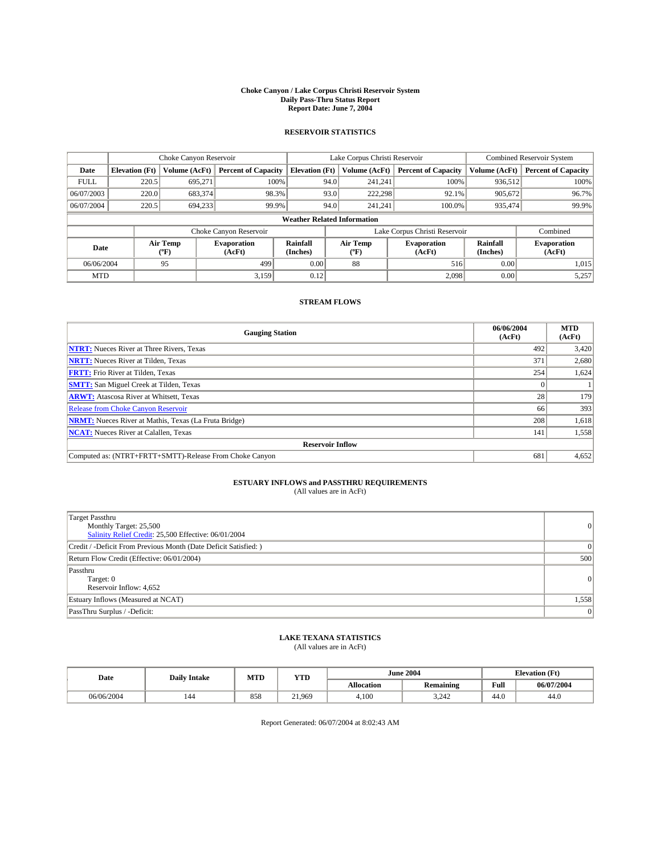#### **Choke Canyon / Lake Corpus Christi Reservoir System Daily Pass-Thru Status Report Report Date: June 7, 2004**

### **RESERVOIR STATISTICS**

|             | Choke Canyon Reservoir             |                 | Lake Corpus Christi Reservoir |                       |      |                                      | <b>Combined Reservoir System</b> |                      |                              |  |
|-------------|------------------------------------|-----------------|-------------------------------|-----------------------|------|--------------------------------------|----------------------------------|----------------------|------------------------------|--|
| Date        | <b>Elevation</b> (Ft)              | Volume (AcFt)   | <b>Percent of Capacity</b>    | <b>Elevation</b> (Ft) |      | Volume (AcFt)                        | <b>Percent of Capacity</b>       | Volume (AcFt)        | <b>Percent of Capacity</b>   |  |
| <b>FULL</b> | 220.5                              | 695,271         | 100%                          |                       | 94.0 | 241,241                              | 100%                             | 936,512              | 100%                         |  |
| 06/07/2003  | 220.0                              | 683,374         | 98.3%                         |                       | 93.0 | 222,298                              | $92.1\%$                         | 905,672              | 96.7%                        |  |
| 06/07/2004  | 220.5                              | 694,233         | 99.9%                         |                       | 94.0 | 241,241                              | $100.0\%$                        | 935,474              | 99.9%                        |  |
|             | <b>Weather Related Information</b> |                 |                               |                       |      |                                      |                                  |                      |                              |  |
|             |                                    |                 | Choke Canyon Reservoir        |                       |      |                                      | Lake Corpus Christi Reservoir    |                      | Combined                     |  |
| Date        |                                    | Air Temp<br>"F) | <b>Evaporation</b><br>(AcFt)  | Rainfall<br>(Inches)  |      | Air Temp<br>$^{\prime\prime} \rm{F}$ | <b>Evaporation</b><br>(AcFt)     | Rainfall<br>(Inches) | <b>Evaporation</b><br>(AcFt) |  |
| 06/06/2004  |                                    | 95              | 499                           | 0.00                  |      | 88                                   | 516                              | 0.00                 | 1,015                        |  |
| <b>MTD</b>  |                                    |                 | 3,159                         | 0.12                  |      |                                      | 2,098                            | 0.00                 | 5,257                        |  |

#### **STREAM FLOWS**

| <b>Gauging Station</b>                                       | 06/06/2004<br>(AcFt) | <b>MTD</b><br>(AcFt) |
|--------------------------------------------------------------|----------------------|----------------------|
| <b>NTRT:</b> Nueces River at Three Rivers, Texas             | 492                  | 3,420                |
| <b>NRTT:</b> Nueces River at Tilden, Texas                   | 371                  | 2,680                |
| <b>FRTT:</b> Frio River at Tilden, Texas                     | 254                  | 1,624                |
| <b>SMTT:</b> San Miguel Creek at Tilden, Texas               |                      |                      |
| <b>ARWT:</b> Atascosa River at Whitsett, Texas               | 28                   | 179                  |
| <b>Release from Choke Canvon Reservoir</b>                   | 66                   | 393                  |
| <b>NRMT:</b> Nueces River at Mathis, Texas (La Fruta Bridge) | 208                  | 1,618                |
| <b>NCAT:</b> Nueces River at Calallen, Texas                 | 141                  | 1,558                |
| <b>Reservoir Inflow</b>                                      |                      |                      |
| Computed as: (NTRT+FRTT+SMTT)-Release From Choke Canyon      | 681                  | 4,652                |

## **ESTUARY INFLOWS and PASSTHRU REQUIREMENTS**<br>(All values are in AcFt)

| Target Passthru<br>Monthly Target: 25,500<br>Salinity Relief Credit: 25,500 Effective: 06/01/2004 | $\overline{0}$ |
|---------------------------------------------------------------------------------------------------|----------------|
| Credit / -Deficit From Previous Month (Date Deficit Satisfied: )                                  | $\Omega$       |
| Return Flow Credit (Effective: 06/01/2004)                                                        | 500            |
| Passthru<br>Target: 0<br>Reservoir Inflow: 4,652                                                  | $\overline{0}$ |
| Estuary Inflows (Measured at NCAT)                                                                | 1,558          |
| PassThru Surplus / -Deficit:                                                                      | $\vert$ 0      |

### **LAKE TEXANA STATISTICS**

(All values are in AcFt)

|            | MTD<br>YTD<br>Date<br><b>Daily Intake</b> |     |        |            | <b>June 2004</b> | <b>Elevation</b> (Ft) |            |
|------------|-------------------------------------------|-----|--------|------------|------------------|-----------------------|------------|
|            |                                           |     |        | Allocation | <b>Remaining</b> | Full                  | 06/07/2004 |
| 06/06/2004 | 144                                       | 858 | 21,969 | 4.100      | 3.242            | 44.0                  | 44.0       |

Report Generated: 06/07/2004 at 8:02:43 AM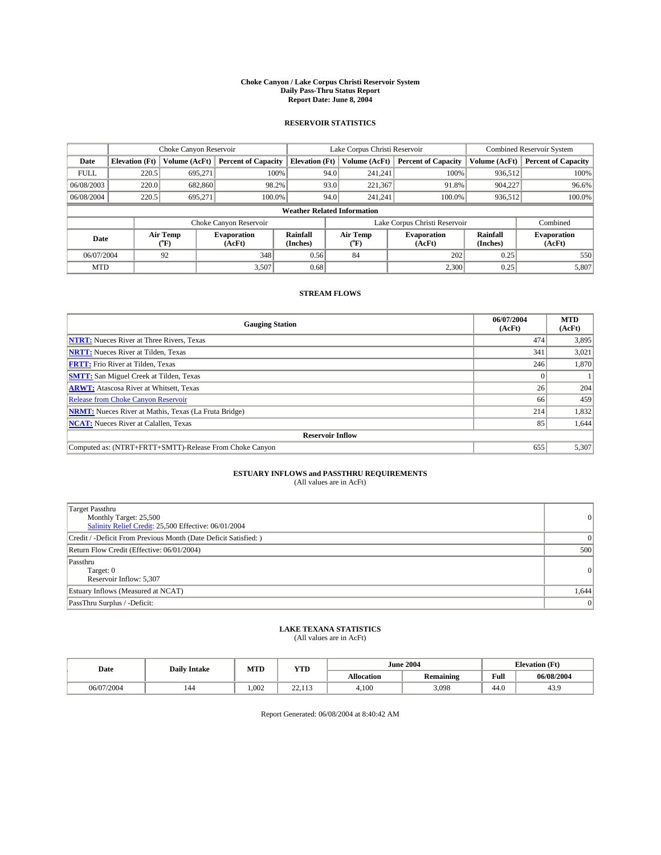#### **Choke Canyon / Lake Corpus Christi Reservoir System Daily Pass-Thru Status Report Report Date: June 8, 2004**

#### **RESERVOIR STATISTICS**

|                                    | Choke Canyon Reservoir |                             |                              |                             | Lake Corpus Christi Reservoir |                  |                               |                      | <b>Combined Reservoir System</b> |  |  |
|------------------------------------|------------------------|-----------------------------|------------------------------|-----------------------------|-------------------------------|------------------|-------------------------------|----------------------|----------------------------------|--|--|
| Date                               | <b>Elevation</b> (Ft)  | Volume (AcFt)               | <b>Percent of Capacity</b>   | <b>Elevation</b> (Ft)       |                               | Volume (AcFt)    | <b>Percent of Capacity</b>    | Volume (AcFt)        | <b>Percent of Capacity</b>       |  |  |
| <b>FULL</b>                        | 220.5                  | 695,271                     | 100%                         |                             | 94.0                          | 241,241          | 100%                          | 936.512              | 100%                             |  |  |
| 06/08/2003                         | 220.0                  | 682,860                     | 98.2%                        |                             | 93.0                          | 221,367          | 91.8%                         | 904.227              | 96.6%                            |  |  |
| 06/08/2004                         | 220.5                  | 695.271                     | 100.0%                       |                             | 94.0                          | 241.241          | $100.0\%$                     | 936,512              | 100.0%                           |  |  |
| <b>Weather Related Information</b> |                        |                             |                              |                             |                               |                  |                               |                      |                                  |  |  |
|                                    |                        |                             | Choke Canyon Reservoir       |                             |                               |                  | Lake Corpus Christi Reservoir |                      | Combined                         |  |  |
| Date                               |                        | Air Temp<br>${}^{\circ}$ F) | <b>Evaporation</b><br>(AcFt) | <b>Rainfall</b><br>(Inches) |                               | Air Temp<br>("F) | <b>Evaporation</b><br>(AcFt)  | Rainfall<br>(Inches) | <b>Evaporation</b><br>(AcFt)     |  |  |
| 06/07/2004                         |                        | 92                          | 348                          | 0.56                        |                               | 84               | 202                           | 0.25                 | 550                              |  |  |
| <b>MTD</b>                         |                        |                             | 3,507                        | 0.68                        |                               |                  | 2,300                         | 0.25                 | 5,807                            |  |  |

### **STREAM FLOWS**

| <b>Gauging Station</b>                                       | 06/07/2004<br>(AcFt) | <b>MTD</b><br>(AcFt) |
|--------------------------------------------------------------|----------------------|----------------------|
| <b>NTRT:</b> Nueces River at Three Rivers, Texas             | 474                  | 3,895                |
| <b>NRTT:</b> Nueces River at Tilden, Texas                   | 341                  | 3,021                |
| <b>FRTT:</b> Frio River at Tilden, Texas                     | 246                  | 1,870                |
| <b>SMTT:</b> San Miguel Creek at Tilden, Texas               |                      |                      |
| <b>ARWT:</b> Atascosa River at Whitsett, Texas               | 26                   | 204                  |
| <b>Release from Choke Canyon Reservoir</b>                   | 66                   | 459                  |
| <b>NRMT:</b> Nueces River at Mathis, Texas (La Fruta Bridge) | 214                  | 1,832                |
| <b>NCAT:</b> Nueces River at Calallen, Texas                 | 85                   | 1,644                |
| <b>Reservoir Inflow</b>                                      |                      |                      |
| Computed as: (NTRT+FRTT+SMTT)-Release From Choke Canyon      | 655                  | 5,307                |

### **ESTUARY INFLOWS and PASSTHRU REQUIREMENTS**<br>(All values are in AcFt)

| Target Passthru<br>Monthly Target: 25,500<br>Salinity Relief Credit: 25,500 Effective: 06/01/2004 | $\overline{0}$ |
|---------------------------------------------------------------------------------------------------|----------------|
| Credit / -Deficit From Previous Month (Date Deficit Satisfied: )                                  | $\Omega$       |
| Return Flow Credit (Effective: 06/01/2004)                                                        | 500            |
| Passthru<br>Target: 0<br>Reservoir Inflow: 5,307                                                  | $\overline{0}$ |
| Estuary Inflows (Measured at NCAT)                                                                | 1,644          |
| PassThru Surplus / -Deficit:                                                                      | $\vert$ 0      |

## **LAKE TEXANA STATISTICS** (All values are in AcFt)

| Date       | <b>Daily Intake</b> | MTD   | <b>YTD</b>                 |                   | <b>June 2004</b> | <b>Elevation (Ft)</b> |            |
|------------|---------------------|-------|----------------------------|-------------------|------------------|-----------------------|------------|
|            |                     |       |                            | <b>Allocation</b> | <b>Remaining</b> | Full                  | 06/08/2004 |
| 06/07/2004 | 144                 | 1.002 | $\sim$<br>112<br><u>__</u> | 4,100             | 3,098            | $\sim$<br>44.U        | 43.9       |

Report Generated: 06/08/2004 at 8:40:42 AM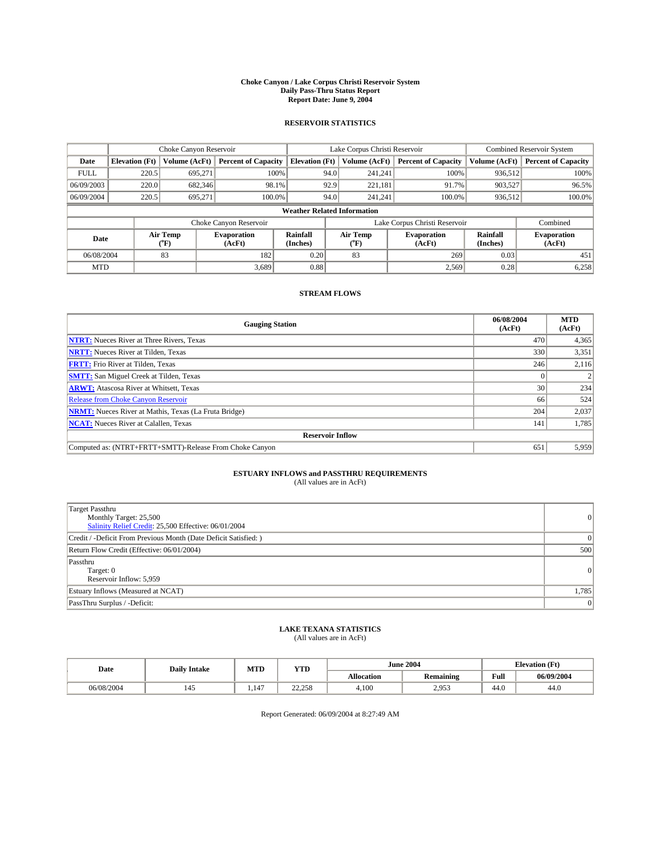#### **Choke Canyon / Lake Corpus Christi Reservoir System Daily Pass-Thru Status Report Report Date: June 9, 2004**

#### **RESERVOIR STATISTICS**

|                                    | Choke Canyon Reservoir |                  |                              |                       | Lake Corpus Christi Reservoir |                  |                               |                      | <b>Combined Reservoir System</b> |  |  |
|------------------------------------|------------------------|------------------|------------------------------|-----------------------|-------------------------------|------------------|-------------------------------|----------------------|----------------------------------|--|--|
| Date                               | <b>Elevation</b> (Ft)  | Volume (AcFt)    | <b>Percent of Capacity</b>   | <b>Elevation (Ft)</b> |                               | Volume (AcFt)    | <b>Percent of Capacity</b>    | Volume (AcFt)        | <b>Percent of Capacity</b>       |  |  |
| <b>FULL</b>                        | 220.5                  | 695,271          | 100%                         |                       | 94.0                          | 241,241          | 100%                          | 936.512              | 100%                             |  |  |
| 06/09/2003                         | 220.0                  | 682,346          | 98.1%                        |                       | 92.9                          | 221.181          | 91.7%                         | 903.527              | 96.5%                            |  |  |
| 06/09/2004                         | 220.5                  | 695.271          | 100.0%                       |                       | 94.0                          | 241.241          | $100.0\%$                     | 936,512              | 100.0%                           |  |  |
| <b>Weather Related Information</b> |                        |                  |                              |                       |                               |                  |                               |                      |                                  |  |  |
|                                    |                        |                  | Choke Canyon Reservoir       |                       |                               |                  | Lake Corpus Christi Reservoir |                      | Combined                         |  |  |
| Date                               |                        | Air Temp<br>(°F) | <b>Evaporation</b><br>(AcFt) | Rainfall<br>(Inches)  |                               | Air Temp<br>("F) | <b>Evaporation</b><br>(AcFt)  | Rainfall<br>(Inches) | <b>Evaporation</b><br>(AcFt)     |  |  |
| 06/08/2004                         |                        | 83               | 182                          | 0.20                  |                               | 83               | 269                           | 0.03                 | 451                              |  |  |
| <b>MTD</b>                         |                        |                  | 3,689                        | 0.88                  |                               |                  | 2,569                         | 0.28                 | 6,258                            |  |  |

### **STREAM FLOWS**

| <b>Gauging Station</b>                                       | 06/08/2004<br>(AcFt) | <b>MTD</b><br>(AcFt) |  |  |  |  |  |
|--------------------------------------------------------------|----------------------|----------------------|--|--|--|--|--|
| <b>NTRT:</b> Nueces River at Three Rivers, Texas             | 470                  | 4,365                |  |  |  |  |  |
| <b>NRTT:</b> Nueces River at Tilden, Texas                   | 330                  | 3,351                |  |  |  |  |  |
| <b>FRTT:</b> Frio River at Tilden, Texas                     | 246                  | 2,116                |  |  |  |  |  |
| <b>SMTT:</b> San Miguel Creek at Tilden, Texas               |                      |                      |  |  |  |  |  |
| <b>ARWT:</b> Atascosa River at Whitsett, Texas               | 30                   | 234                  |  |  |  |  |  |
| <b>Release from Choke Canyon Reservoir</b>                   | 66                   | 524                  |  |  |  |  |  |
| <b>NRMT:</b> Nueces River at Mathis, Texas (La Fruta Bridge) | 204                  | 2,037                |  |  |  |  |  |
| <b>NCAT:</b> Nueces River at Calallen, Texas                 | 141                  | 1,785                |  |  |  |  |  |
| <b>Reservoir Inflow</b>                                      |                      |                      |  |  |  |  |  |
| Computed as: (NTRT+FRTT+SMTT)-Release From Choke Canyon      | 651                  | 5,959                |  |  |  |  |  |

## **ESTUARY INFLOWS and PASSTHRU REQUIREMENTS**<br>(All values are in AcFt)

| Target Passthru<br>Monthly Target: 25,500<br>Salinity Relief Credit: 25,500 Effective: 06/01/2004 | $\overline{0}$ |
|---------------------------------------------------------------------------------------------------|----------------|
| Credit / -Deficit From Previous Month (Date Deficit Satisfied: )                                  | $\Omega$       |
| Return Flow Credit (Effective: 06/01/2004)                                                        | 500            |
| Passthru<br>Target: 0<br>Reservoir Inflow: 5,959                                                  | $\overline{0}$ |
| Estuary Inflows (Measured at NCAT)                                                                | 1,785          |
| PassThru Surplus / -Deficit:                                                                      | $\overline{0}$ |

## **LAKE TEXANA STATISTICS** (All values are in AcFt)

| Date       | <b>Daily Intake</b> | MTD  | <b>YTD</b> |                   | <b>June 2004</b> | <b>Elevation</b> (Ft) |            |
|------------|---------------------|------|------------|-------------------|------------------|-----------------------|------------|
|            |                     |      |            | <b>Allocation</b> | Remaining        | Full                  | 06/09/2004 |
| 06/08/2004 | 145                 | .147 | 22.258     | 4,100             | 2.053<br>د د د.  | 44.0                  | 44.0       |

Report Generated: 06/09/2004 at 8:27:49 AM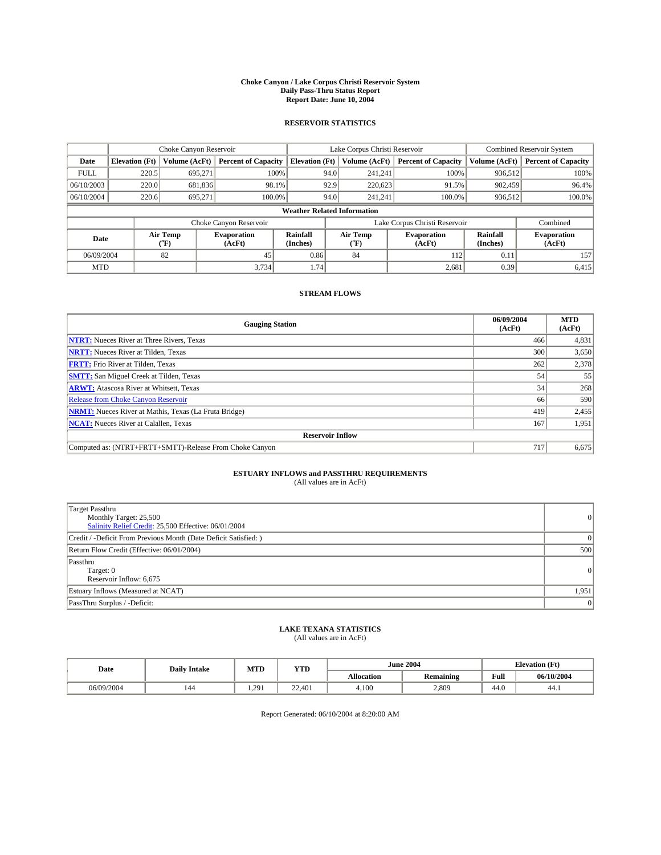#### **Choke Canyon / Lake Corpus Christi Reservoir System Daily Pass-Thru Status Report Report Date: June 10, 2004**

#### **RESERVOIR STATISTICS**

|             | Choke Canyon Reservoir             |                  | Lake Corpus Christi Reservoir |                             |                               |                  | <b>Combined Reservoir System</b> |                      |                              |  |
|-------------|------------------------------------|------------------|-------------------------------|-----------------------------|-------------------------------|------------------|----------------------------------|----------------------|------------------------------|--|
| Date        | <b>Elevation</b> (Ft)              | Volume (AcFt)    | <b>Percent of Capacity</b>    | <b>Elevation</b> (Ft)       |                               | Volume (AcFt)    | <b>Percent of Capacity</b>       | Volume (AcFt)        | <b>Percent of Capacity</b>   |  |
| <b>FULL</b> | 220.5                              | 695,271          |                               | 100%                        | 94.0                          | 241,241          | 100%                             | 936.512              | 100%                         |  |
| 06/10/2003  | 220.0                              | 681,836          | 98.1%                         |                             | 92.9                          | 220,623          | 91.5%                            | 902.459              | 96.4%                        |  |
| 06/10/2004  | 220.6                              | 695.271          | 100.0%                        |                             | 94.0                          | 241.241          | $100.0\%$                        | 936,512              | 100.0%                       |  |
|             | <b>Weather Related Information</b> |                  |                               |                             |                               |                  |                                  |                      |                              |  |
|             |                                    |                  | Choke Canyon Reservoir        |                             | Lake Corpus Christi Reservoir |                  |                                  |                      | Combined                     |  |
| Date        |                                    | Air Temp<br>(°F) | <b>Evaporation</b><br>(AcFt)  | <b>Rainfall</b><br>(Inches) |                               | Air Temp<br>("F) | <b>Evaporation</b><br>(AcFt)     | Rainfall<br>(Inches) | <b>Evaporation</b><br>(AcFt) |  |
| 06/09/2004  |                                    | 82               | 45                            | 0.86                        |                               | 84               | 112                              | 0.11                 | 157                          |  |
| <b>MTD</b>  |                                    |                  | 3,734                         | 1.74                        |                               |                  | 2,681                            | 0.39                 | 6,415                        |  |

### **STREAM FLOWS**

| <b>Gauging Station</b>                                       | 06/09/2004<br>(AcFt) | <b>MTD</b><br>(AcFt) |  |  |  |  |  |
|--------------------------------------------------------------|----------------------|----------------------|--|--|--|--|--|
| <b>NTRT:</b> Nueces River at Three Rivers, Texas             | 466                  | 4,831                |  |  |  |  |  |
| <b>NRTT:</b> Nueces River at Tilden, Texas                   | 300                  | 3,650                |  |  |  |  |  |
| <b>FRTT:</b> Frio River at Tilden, Texas                     | 262                  | 2,378                |  |  |  |  |  |
| <b>SMTT:</b> San Miguel Creek at Tilden, Texas               | 54                   | 55                   |  |  |  |  |  |
| <b>ARWT:</b> Atascosa River at Whitsett, Texas               | 34                   | 268                  |  |  |  |  |  |
| Release from Choke Canyon Reservoir                          | 66                   | 590                  |  |  |  |  |  |
| <b>NRMT:</b> Nueces River at Mathis, Texas (La Fruta Bridge) | 419                  | 2,455                |  |  |  |  |  |
| <b>NCAT:</b> Nueces River at Calallen, Texas                 | 167                  | 1,951                |  |  |  |  |  |
| <b>Reservoir Inflow</b>                                      |                      |                      |  |  |  |  |  |
| Computed as: (NTRT+FRTT+SMTT)-Release From Choke Canyon      | 717                  | 6,675                |  |  |  |  |  |

### **ESTUARY INFLOWS and PASSTHRU REQUIREMENTS**<br>(All values are in AcFt)

| Target Passthru<br>Monthly Target: 25,500<br>Salinity Relief Credit: 25,500 Effective: 06/01/2004 | $\overline{0}$ |
|---------------------------------------------------------------------------------------------------|----------------|
| Credit / -Deficit From Previous Month (Date Deficit Satisfied: )                                  | $\Omega$       |
| Return Flow Credit (Effective: 06/01/2004)                                                        | 500            |
| Passthru<br>Target: 0<br>Reservoir Inflow: 6,675                                                  | $\overline{0}$ |
| Estuary Inflows (Measured at NCAT)                                                                | 1,951          |
| PassThru Surplus / -Deficit:                                                                      | $\overline{0}$ |

## **LAKE TEXANA STATISTICS** (All values are in AcFt)

| Date       | <b>Daily Intake</b> | MTD   | YTD              |                   | <b>June 2004</b>              | <b>Elevation</b> (Ft) |            |
|------------|---------------------|-------|------------------|-------------------|-------------------------------|-----------------------|------------|
|            |                     |       |                  | <b>Allocation</b> | $\cdot$ .<br><b>Remaining</b> | Full                  | 06/10/2004 |
| 06/09/2004 | 144                 | 1.291 | $\sim$<br>22,401 | 4,100             | 2,809                         | $\sim$<br>44.V        | 44.1       |

Report Generated: 06/10/2004 at 8:20:00 AM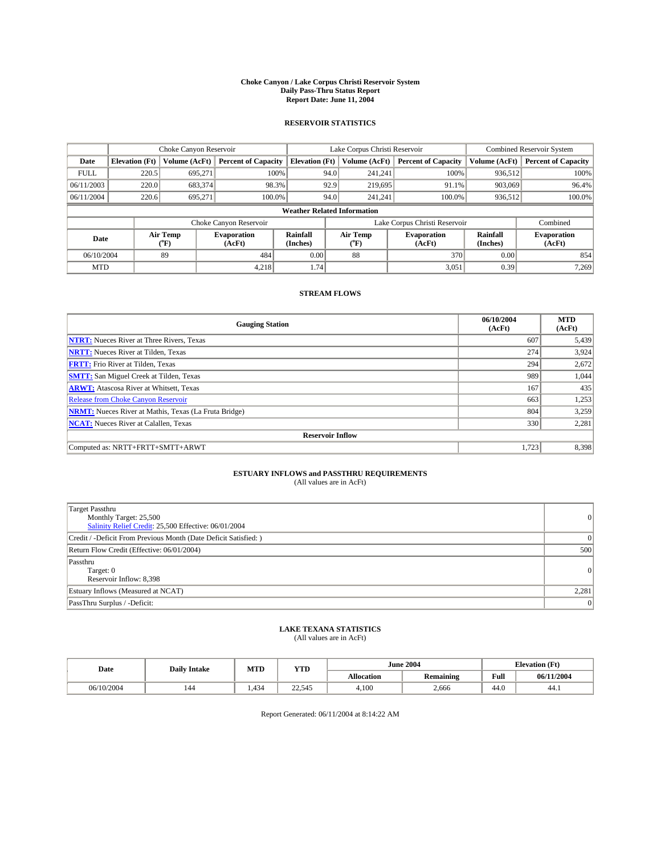#### **Choke Canyon / Lake Corpus Christi Reservoir System Daily Pass-Thru Status Report Report Date: June 11, 2004**

#### **RESERVOIR STATISTICS**

|                                    | Choke Canyon Reservoir |                  | Lake Corpus Christi Reservoir |                       |                               |                  | <b>Combined Reservoir System</b> |                      |                              |
|------------------------------------|------------------------|------------------|-------------------------------|-----------------------|-------------------------------|------------------|----------------------------------|----------------------|------------------------------|
| Date                               | <b>Elevation</b> (Ft)  | Volume (AcFt)    | <b>Percent of Capacity</b>    | <b>Elevation (Ft)</b> |                               | Volume (AcFt)    | <b>Percent of Capacity</b>       | Volume (AcFt)        | <b>Percent of Capacity</b>   |
| <b>FULL</b>                        | 220.5                  | 695,271          |                               | 100%                  | 94.0                          | 241,241          | 100%                             | 936.512              | 100%                         |
| 06/11/2003                         | 220.0                  | 683,374          | 98.3%                         |                       | 92.9                          | 219,695          | 91.1%                            | 903,069              | 96.4%                        |
| 06/11/2004                         | 220.6                  | 695.271          | 100.0%                        |                       | 94.0                          | 241.241          | $100.0\%$                        | 936,512              | 100.0%                       |
| <b>Weather Related Information</b> |                        |                  |                               |                       |                               |                  |                                  |                      |                              |
|                                    |                        |                  | Choke Canyon Reservoir        |                       | Lake Corpus Christi Reservoir |                  |                                  |                      | Combined                     |
| Date                               |                        | Air Temp<br>(°F) | <b>Evaporation</b><br>(AcFt)  | Rainfall<br>(Inches)  |                               | Air Temp<br>("F) | <b>Evaporation</b><br>(AcFt)     | Rainfall<br>(Inches) | <b>Evaporation</b><br>(AcFt) |
| 06/10/2004                         |                        | 89               | 484                           | 0.00                  |                               | 88               | 370                              | 0.00                 | 854                          |
| <b>MTD</b>                         |                        |                  | 4,218                         | 1.74                  |                               |                  | 3,051                            | 0.39                 | 7,269                        |

### **STREAM FLOWS**

| <b>Gauging Station</b>                                       | 06/10/2004<br>(AcFt) | <b>MTD</b><br>(AcFt) |
|--------------------------------------------------------------|----------------------|----------------------|
| <b>NTRT:</b> Nueces River at Three Rivers, Texas             | 607                  | 5,439                |
| <b>NRTT:</b> Nueces River at Tilden, Texas                   | 274                  | 3,924                |
| <b>FRTT:</b> Frio River at Tilden, Texas                     | 294                  | 2,672                |
| <b>SMTT:</b> San Miguel Creek at Tilden, Texas               | 989                  | 1,044                |
| <b>ARWT:</b> Atascosa River at Whitsett, Texas               | 167                  | 435                  |
| <b>Release from Choke Canyon Reservoir</b>                   | 663                  | 1,253                |
| <b>NRMT:</b> Nueces River at Mathis, Texas (La Fruta Bridge) | 804                  | 3,259                |
| <b>NCAT:</b> Nueces River at Calallen, Texas                 | 330                  | 2,281                |
| <b>Reservoir Inflow</b>                                      |                      |                      |
| Computed as: NRTT+FRTT+SMTT+ARWT                             | 1,723                | 8,398                |

### **ESTUARY INFLOWS and PASSTHRU REQUIREMENTS**

(All values are in AcFt)

| <b>Target Passthru</b><br>Monthly Target: 25,500<br>Salinity Relief Credit: 25,500 Effective: 06/01/2004 | 0              |
|----------------------------------------------------------------------------------------------------------|----------------|
| Credit / -Deficit From Previous Month (Date Deficit Satisfied: )                                         | $\overline{0}$ |
| Return Flow Credit (Effective: 06/01/2004)                                                               | 500            |
| Passthru<br>Target: 0<br>Reservoir Inflow: 8,398                                                         | 0              |
| Estuary Inflows (Measured at NCAT)                                                                       | 2,281          |
| PassThru Surplus / -Deficit:                                                                             | 0              |

## **LAKE TEXANA STATISTICS** (All values are in AcFt)

| Date       | <b>Daily Intake</b> | MTD  | <b>YTD</b> |                   | <b>June 2004</b> | <b>Elevation (Ft)</b> |            |
|------------|---------------------|------|------------|-------------------|------------------|-----------------------|------------|
|            |                     |      |            | <b>Allocation</b> | <b>Remaining</b> | Full                  | 06/11/2004 |
| 06/10/2004 | 144                 | .434 | 22.545     | 4,100             | 2.666            | $\sim$<br>44.v        | 44.1       |

Report Generated: 06/11/2004 at 8:14:22 AM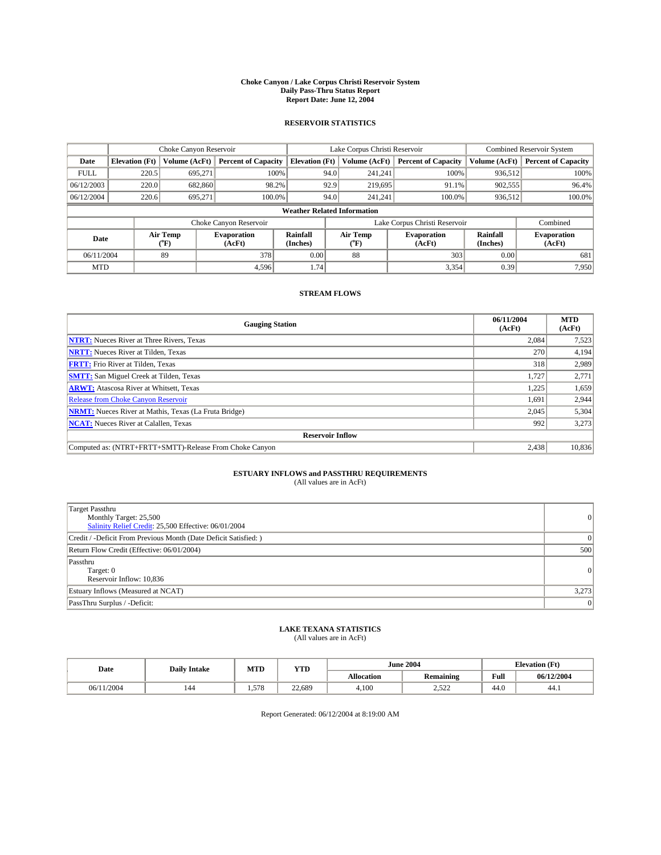#### **Choke Canyon / Lake Corpus Christi Reservoir System Daily Pass-Thru Status Report Report Date: June 12, 2004**

#### **RESERVOIR STATISTICS**

|             | Choke Canyon Reservoir             |                             | Lake Corpus Christi Reservoir |                             |                               |                  | <b>Combined Reservoir System</b> |                      |                              |  |
|-------------|------------------------------------|-----------------------------|-------------------------------|-----------------------------|-------------------------------|------------------|----------------------------------|----------------------|------------------------------|--|
| Date        | <b>Elevation</b> (Ft)              | Volume (AcFt)               | <b>Percent of Capacity</b>    | <b>Elevation</b> (Ft)       |                               | Volume (AcFt)    | <b>Percent of Capacity</b>       | Volume (AcFt)        | <b>Percent of Capacity</b>   |  |
| <b>FULL</b> | 220.5                              | 695,271                     | 100%                          |                             | 94.0                          | 241,241          | 100%                             | 936.512              | 100%                         |  |
| 06/12/2003  | 220.0                              | 682,860                     | 98.2%                         |                             | 92.9                          | 219,695          | 91.1%                            | 902,555              | 96.4%                        |  |
| 06/12/2004  | 220.6                              | 695.271                     | 100.0%                        |                             | 94.0                          | 241.241          | $100.0\%$                        | 936,512              | 100.0%                       |  |
|             | <b>Weather Related Information</b> |                             |                               |                             |                               |                  |                                  |                      |                              |  |
|             |                                    |                             | Choke Canyon Reservoir        |                             | Lake Corpus Christi Reservoir |                  |                                  |                      | Combined                     |  |
| Date        |                                    | Air Temp<br>${}^{\circ}$ F) | <b>Evaporation</b><br>(AcFt)  | <b>Rainfall</b><br>(Inches) |                               | Air Temp<br>("F) | <b>Evaporation</b><br>(AcFt)     | Rainfall<br>(Inches) | <b>Evaporation</b><br>(AcFt) |  |
| 06/11/2004  |                                    | 89                          | 378                           | 0.00                        |                               | 88               | 303                              | 0.00                 | 681                          |  |
| <b>MTD</b>  |                                    |                             | 4,596                         | 1.74                        |                               |                  | 3,354                            | 0.39                 | 7,950                        |  |

### **STREAM FLOWS**

| <b>Gauging Station</b>                                       | 06/11/2004<br>(AcFt) | <b>MTD</b><br>(AcFt) |
|--------------------------------------------------------------|----------------------|----------------------|
| <b>NTRT:</b> Nueces River at Three Rivers, Texas             | 2,084                | 7,523                |
| <b>NRTT:</b> Nueces River at Tilden, Texas                   | 270                  | 4,194                |
| <b>FRTT:</b> Frio River at Tilden, Texas                     | 318                  | 2,989                |
| <b>SMTT:</b> San Miguel Creek at Tilden, Texas               | 1.727                | 2,771                |
| <b>ARWT:</b> Atascosa River at Whitsett, Texas               | 1,225                | 1,659                |
| <b>Release from Choke Canyon Reservoir</b>                   | 1,691                | 2,944                |
| <b>NRMT:</b> Nueces River at Mathis, Texas (La Fruta Bridge) | 2,045                | 5,304                |
| <b>NCAT:</b> Nueces River at Calallen, Texas                 | 992                  | 3,273                |
| <b>Reservoir Inflow</b>                                      |                      |                      |
| Computed as: (NTRT+FRTT+SMTT)-Release From Choke Canvon      | 2.438                | 10.836               |

## **ESTUARY INFLOWS and PASSTHRU REQUIREMENTS**<br>(All values are in AcFt)

| Target Passthru<br>Monthly Target: 25,500<br>Salinity Relief Credit: 25,500 Effective: 06/01/2004 | $\overline{0}$ |
|---------------------------------------------------------------------------------------------------|----------------|
| Credit / -Deficit From Previous Month (Date Deficit Satisfied: )                                  | $\Omega$       |
| Return Flow Credit (Effective: 06/01/2004)                                                        | 500            |
| Passthru<br>Target: 0<br>Reservoir Inflow: 10,836                                                 | $\overline{0}$ |
| Estuary Inflows (Measured at NCAT)                                                                | 3,273          |
| PassThru Surplus / -Deficit:                                                                      | $\overline{0}$ |

## **LAKE TEXANA STATISTICS** (All values are in AcFt)

| Date       | <b>Daily Intake</b> | MTD   | <b>YTD</b> |                   | <b>June 2004</b>          | <b>Elevation</b> (Ft) |            |
|------------|---------------------|-------|------------|-------------------|---------------------------|-----------------------|------------|
|            |                     |       |            | <b>Allocation</b> | <b>Remaining</b>          | Full                  | 06/12/2004 |
| 06/11/2004 | 144                 | 1.578 | 22.689     | 4,100             | 50 <sup>o</sup><br>ے بے ب | $\sim$<br>44.0        | 44.1       |

Report Generated: 06/12/2004 at 8:19:00 AM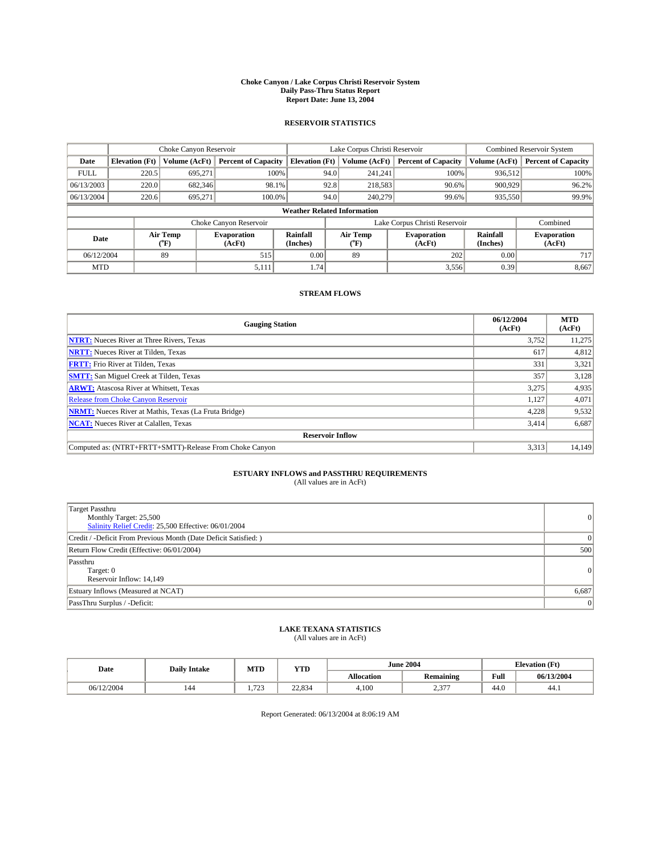#### **Choke Canyon / Lake Corpus Christi Reservoir System Daily Pass-Thru Status Report Report Date: June 13, 2004**

#### **RESERVOIR STATISTICS**

|             | Choke Canyon Reservoir             |                             |                              |                             | Lake Corpus Christi Reservoir |                  |                               |                      | <b>Combined Reservoir System</b> |  |
|-------------|------------------------------------|-----------------------------|------------------------------|-----------------------------|-------------------------------|------------------|-------------------------------|----------------------|----------------------------------|--|
| Date        | <b>Elevation</b> (Ft)              | Volume (AcFt)               | <b>Percent of Capacity</b>   | <b>Elevation</b> (Ft)       |                               | Volume (AcFt)    | <b>Percent of Capacity</b>    | Volume (AcFt)        | <b>Percent of Capacity</b>       |  |
| <b>FULL</b> | 220.5                              | 695,271                     | 100%                         |                             | 94.0                          | 241,241          | 100%                          | 936.512              | 100%                             |  |
| 06/13/2003  | 220.0                              | 682,346                     | 98.1%                        |                             | 92.8                          | 218,583          | 90.6%                         | 900.929              | 96.2%                            |  |
| 06/13/2004  | 220.6                              | 695.271                     | 100.0%                       |                             | 94.0                          | 240,279          | 99.6%                         | 935,550              | 99.9%                            |  |
|             | <b>Weather Related Information</b> |                             |                              |                             |                               |                  |                               |                      |                                  |  |
|             |                                    |                             | Choke Canyon Reservoir       |                             |                               |                  | Lake Corpus Christi Reservoir |                      | Combined                         |  |
| Date        |                                    | Air Temp<br>${}^{\circ}$ F) | <b>Evaporation</b><br>(AcFt) | <b>Rainfall</b><br>(Inches) |                               | Air Temp<br>("F) | <b>Evaporation</b><br>(AcFt)  | Rainfall<br>(Inches) | <b>Evaporation</b><br>(AcFt)     |  |
| 06/12/2004  |                                    | 89                          | 515                          | 0.00                        |                               | 89               | 202                           | 0.00                 | 717                              |  |
| <b>MTD</b>  |                                    |                             | 5,111                        | 1.74                        |                               |                  | 3,556                         | 0.39                 | 8,667                            |  |

### **STREAM FLOWS**

| <b>Gauging Station</b>                                       | 06/12/2004<br>(AcFt) | <b>MTD</b><br>(AcFt) |
|--------------------------------------------------------------|----------------------|----------------------|
| <b>NTRT:</b> Nueces River at Three Rivers, Texas             | 3,752                | 11,275               |
| <b>NRTT:</b> Nueces River at Tilden, Texas                   | 617                  | 4,812                |
| <b>FRTT:</b> Frio River at Tilden, Texas                     | 331                  | 3,321                |
| <b>SMTT:</b> San Miguel Creek at Tilden, Texas               | 357                  | 3,128                |
| <b>ARWT:</b> Atascosa River at Whitsett, Texas               | 3,275                | 4,935                |
| <b>Release from Choke Canyon Reservoir</b>                   | 1,127                | 4,071                |
| <b>NRMT:</b> Nueces River at Mathis, Texas (La Fruta Bridge) | 4,228                | 9,532                |
| <b>NCAT:</b> Nueces River at Calallen, Texas                 | 3,414                | 6,687                |
| <b>Reservoir Inflow</b>                                      |                      |                      |
| Computed as: (NTRT+FRTT+SMTT)-Release From Choke Canyon      | 3,313                | 14.149               |

## **ESTUARY INFLOWS and PASSTHRU REQUIREMENTS**<br>(All values are in AcFt)

| Target Passthru<br>Monthly Target: 25,500<br>Salinity Relief Credit: 25,500 Effective: 06/01/2004 | $\Omega$       |
|---------------------------------------------------------------------------------------------------|----------------|
| Credit / -Deficit From Previous Month (Date Deficit Satisfied: )                                  |                |
| Return Flow Credit (Effective: 06/01/2004)                                                        | 500            |
| Passthru<br>Target: 0<br>Reservoir Inflow: 14,149                                                 | $\overline{0}$ |
| Estuary Inflows (Measured at NCAT)                                                                | 6,687          |
| PassThru Surplus / -Deficit:                                                                      | 0              |

## **LAKE TEXANA STATISTICS** (All values are in AcFt)

| Date       | <b>Daily Intake</b> | MTD        | <b>YTD</b> |                   | <b>June 2004</b> | <b>Elevation</b> (Ft) |            |
|------------|---------------------|------------|------------|-------------------|------------------|-----------------------|------------|
|            |                     |            |            | <b>Allocation</b> | <b>Remaining</b> | Full                  | 06/13/2004 |
| 06/12/2004 | 144                 | 723<br>ر ب | 22,834     | 4,100             | $\sim$<br>ا پہ   | $\sim$<br>44.0        | 44.1       |

Report Generated: 06/13/2004 at 8:06:19 AM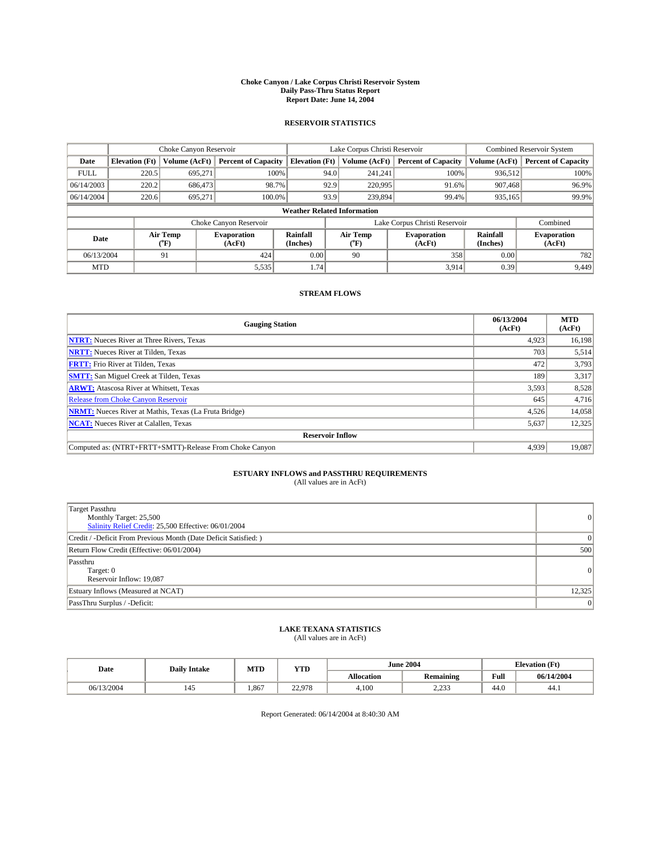#### **Choke Canyon / Lake Corpus Christi Reservoir System Daily Pass-Thru Status Report Report Date: June 14, 2004**

#### **RESERVOIR STATISTICS**

|             | Choke Canyon Reservoir             |                             |                              |                             | Lake Corpus Christi Reservoir |                  |                               |                             | <b>Combined Reservoir System</b> |  |  |
|-------------|------------------------------------|-----------------------------|------------------------------|-----------------------------|-------------------------------|------------------|-------------------------------|-----------------------------|----------------------------------|--|--|
| Date        | <b>Elevation</b> (Ft)              | Volume (AcFt)               | <b>Percent of Capacity</b>   | <b>Elevation</b> (Ft)       |                               | Volume (AcFt)    | <b>Percent of Capacity</b>    | Volume (AcFt)               | <b>Percent of Capacity</b>       |  |  |
| <b>FULL</b> | 220.5                              | 695,271                     |                              | 100%                        | 94.0                          | 241,241          | 100%                          | 936.512                     | 100%                             |  |  |
| 06/14/2003  | 220.2                              | 686,473                     |                              | 98.7%                       | 92.9                          | 220,995          | 91.6%                         | 907,468                     | 96.9%                            |  |  |
| 06/14/2004  | 220.6                              | 695.271                     | 100.0%                       |                             | 93.9                          | 239,894          | 99.4%                         | 935,165                     | 99.9%                            |  |  |
|             | <b>Weather Related Information</b> |                             |                              |                             |                               |                  |                               |                             |                                  |  |  |
|             |                                    |                             | Choke Canyon Reservoir       |                             |                               |                  | Lake Corpus Christi Reservoir |                             | Combined                         |  |  |
| Date        |                                    | Air Temp<br>${}^{\circ}$ F) | <b>Evaporation</b><br>(AcFt) | <b>Rainfall</b><br>(Inches) |                               | Air Temp<br>("F) | <b>Evaporation</b><br>(AcFt)  | <b>Rainfall</b><br>(Inches) | <b>Evaporation</b><br>(AcFt)     |  |  |
| 06/13/2004  |                                    | 91                          | 424                          | 0.00                        |                               | 90               | 358                           | 0.00                        | 782                              |  |  |
| <b>MTD</b>  |                                    |                             | 5,535                        | 1.74                        |                               |                  | 3,914                         | 0.39                        | 9,449                            |  |  |

### **STREAM FLOWS**

| <b>Gauging Station</b>                                       | 06/13/2004<br>(AcFt) | <b>MTD</b><br>(AcFt) |
|--------------------------------------------------------------|----------------------|----------------------|
| <b>NTRT:</b> Nueces River at Three Rivers, Texas             | 4,923                | 16,198               |
| <b>NRTT:</b> Nueces River at Tilden, Texas                   | 703                  | 5,514                |
| <b>FRTT:</b> Frio River at Tilden, Texas                     | 472                  | 3,793                |
| <b>SMTT:</b> San Miguel Creek at Tilden, Texas               | 189                  | 3,317                |
| <b>ARWT:</b> Atascosa River at Whitsett, Texas               | 3,593                | 8,528                |
| <b>Release from Choke Canyon Reservoir</b>                   | 645                  | 4,716                |
| <b>NRMT:</b> Nueces River at Mathis, Texas (La Fruta Bridge) | 4,526                | 14,058               |
| <b>NCAT:</b> Nueces River at Calallen, Texas                 | 5,637                | 12,325               |
| <b>Reservoir Inflow</b>                                      |                      |                      |
| Computed as: (NTRT+FRTT+SMTT)-Release From Choke Canyon      | 4,939                | 19.087               |

## **ESTUARY INFLOWS and PASSTHRU REQUIREMENTS**<br>(All values are in AcFt)

| Target Passthru<br>Monthly Target: 25,500                                                                                | $\Omega$       |
|--------------------------------------------------------------------------------------------------------------------------|----------------|
| Salinity Relief Credit: 25,500 Effective: 06/01/2004<br>Credit / -Deficit From Previous Month (Date Deficit Satisfied: ) |                |
| Return Flow Credit (Effective: 06/01/2004)                                                                               | 500            |
| Passthru<br>Target: 0<br>Reservoir Inflow: 19,087                                                                        | $\Omega$       |
| Estuary Inflows (Measured at NCAT)                                                                                       | 12,325         |
| PassThru Surplus / -Deficit:                                                                                             | $\overline{0}$ |

## **LAKE TEXANA STATISTICS** (All values are in AcFt)

| Date       | <b>Daily Intake</b> | MTD   | <b>YTD</b> |                   | <b>June 2004</b> | <b>Elevation</b> (Ft) |            |
|------------|---------------------|-------|------------|-------------------|------------------|-----------------------|------------|
|            |                     |       |            | <b>Allocation</b> | Remaining        | Full                  | 06/14/2004 |
| 06/13/2004 | 145                 | 1.867 | 22.978     | 4,100             | 222<br>ر رے د    | 44.0                  | 44.1       |

Report Generated: 06/14/2004 at 8:40:30 AM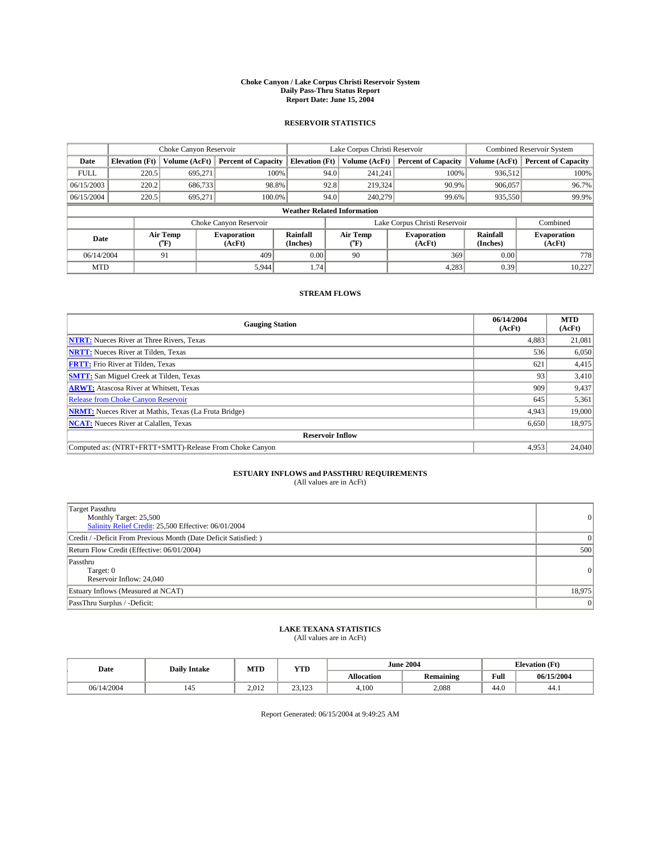#### **Choke Canyon / Lake Corpus Christi Reservoir System Daily Pass-Thru Status Report Report Date: June 15, 2004**

#### **RESERVOIR STATISTICS**

|             | Choke Canyon Reservoir             |                             |                              |                             | Lake Corpus Christi Reservoir |                  |                               |                             | <b>Combined Reservoir System</b> |  |
|-------------|------------------------------------|-----------------------------|------------------------------|-----------------------------|-------------------------------|------------------|-------------------------------|-----------------------------|----------------------------------|--|
| Date        | <b>Elevation</b> (Ft)              | Volume (AcFt)               | <b>Percent of Capacity</b>   | <b>Elevation</b> (Ft)       |                               | Volume (AcFt)    | <b>Percent of Capacity</b>    | Volume (AcFt)               | <b>Percent of Capacity</b>       |  |
| <b>FULL</b> | 220.5                              | 695,271                     |                              | 100%                        | 94.0                          | 241,241          | 100%                          | 936.512                     | 100%                             |  |
| 06/15/2003  | 220.2                              | 686,733                     | 98.8%                        |                             | 92.8                          | 219,324          | 90.9%                         | 906.057                     | 96.7%                            |  |
| 06/15/2004  | 220.5                              | 695.271                     | 100.0%                       |                             | 94.0                          | 240,279          | 99.6%                         | 935,550                     | 99.9%                            |  |
|             | <b>Weather Related Information</b> |                             |                              |                             |                               |                  |                               |                             |                                  |  |
|             |                                    |                             | Choke Canyon Reservoir       |                             |                               |                  | Lake Corpus Christi Reservoir |                             | Combined                         |  |
| Date        |                                    | Air Temp<br>${}^{\circ}$ F) | <b>Evaporation</b><br>(AcFt) | <b>Rainfall</b><br>(Inches) |                               | Air Temp<br>("F) | <b>Evaporation</b><br>(AcFt)  | <b>Rainfall</b><br>(Inches) | <b>Evaporation</b><br>(AcFt)     |  |
| 06/14/2004  |                                    | 91                          | 409                          | 0.00                        |                               | 90               | 369                           | 0.00                        | 778                              |  |
| <b>MTD</b>  |                                    |                             | 5,944                        | 1.74                        |                               |                  | 4,283                         | 0.39                        | 10,227                           |  |

### **STREAM FLOWS**

| <b>Gauging Station</b>                                       | 06/14/2004<br>(AcFt) | <b>MTD</b><br>(AcFt) |
|--------------------------------------------------------------|----------------------|----------------------|
| <b>NTRT:</b> Nueces River at Three Rivers, Texas             | 4,883                | 21,081               |
| <b>NRTT:</b> Nueces River at Tilden, Texas                   | 536                  | 6,050                |
| <b>FRTT:</b> Frio River at Tilden, Texas                     | 621                  | 4,415                |
| <b>SMTT:</b> San Miguel Creek at Tilden, Texas               | 93 <sub>1</sub>      | 3,410                |
| <b>ARWT:</b> Atascosa River at Whitsett, Texas               | 909                  | 9,437                |
| <b>Release from Choke Canyon Reservoir</b>                   | 645                  | 5,361                |
| <b>NRMT:</b> Nueces River at Mathis, Texas (La Fruta Bridge) | 4,943                | 19,000               |
| <b>NCAT:</b> Nueces River at Calallen, Texas                 | 6,650                | 18,975               |
| <b>Reservoir Inflow</b>                                      |                      |                      |
| Computed as: (NTRT+FRTT+SMTT)-Release From Choke Canyon      | 4,953                | 24,040               |

## **ESTUARY INFLOWS and PASSTHRU REQUIREMENTS**<br>(All values are in AcFt)

| Target Passthru<br>Monthly Target: 25,500<br>Salinity Relief Credit: 25,500 Effective: 06/01/2004 | $\Omega$ |
|---------------------------------------------------------------------------------------------------|----------|
| Credit / -Deficit From Previous Month (Date Deficit Satisfied: )                                  |          |
| Return Flow Credit (Effective: 06/01/2004)                                                        | 500      |
| Passthru<br>Target: 0<br>Reservoir Inflow: 24,040                                                 | $\Omega$ |
| Estuary Inflows (Measured at NCAT)                                                                | 18,975   |
| PassThru Surplus / -Deficit:                                                                      | 0        |

## **LAKE TEXANA STATISTICS** (All values are in AcFt)

| Date       | <b>Daily Intake</b> | MTD   | <b>YTD</b>          |                   | <b>June 2004</b> | <b>Elevation</b> (Ft) |            |
|------------|---------------------|-------|---------------------|-------------------|------------------|-----------------------|------------|
|            |                     |       |                     | <b>Allocation</b> | <b>Remaining</b> | Full                  | 06/15/2004 |
| 06/14/2004 | 142                 | 2.012 | 22122<br>ر سکتے ہے۔ | 4,100             | 2.088            | $\sim$<br>44.U        | 44.1       |

Report Generated: 06/15/2004 at 9:49:25 AM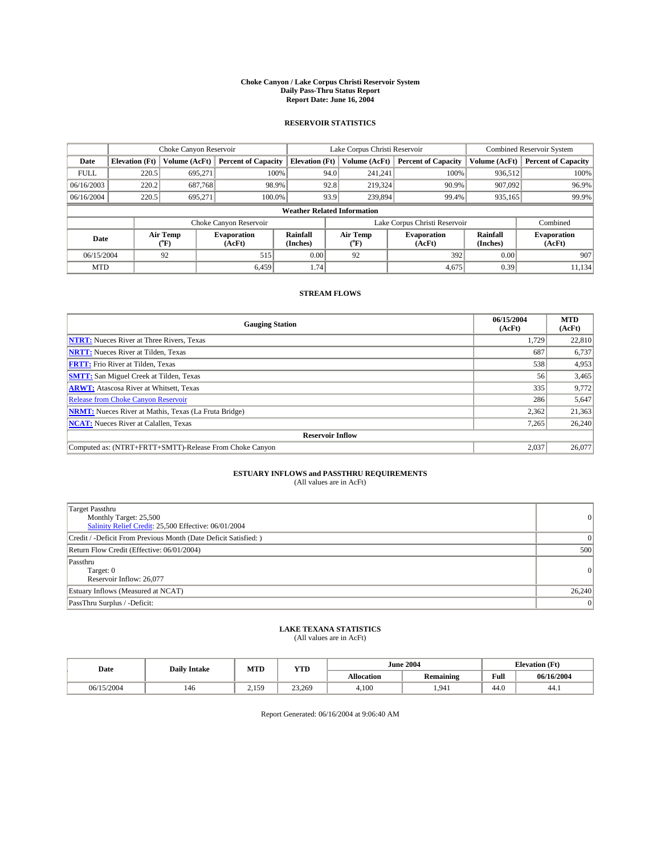#### **Choke Canyon / Lake Corpus Christi Reservoir System Daily Pass-Thru Status Report Report Date: June 16, 2004**

#### **RESERVOIR STATISTICS**

|                                    | Choke Canyon Reservoir |                             |                              |                             | Lake Corpus Christi Reservoir |                  |                               |                             | <b>Combined Reservoir System</b> |  |  |
|------------------------------------|------------------------|-----------------------------|------------------------------|-----------------------------|-------------------------------|------------------|-------------------------------|-----------------------------|----------------------------------|--|--|
| Date                               | <b>Elevation</b> (Ft)  | Volume (AcFt)               | <b>Percent of Capacity</b>   | <b>Elevation</b> (Ft)       |                               | Volume (AcFt)    | <b>Percent of Capacity</b>    | Volume (AcFt)               | <b>Percent of Capacity</b>       |  |  |
| <b>FULL</b>                        | 220.5                  | 695,271                     |                              | 100%                        | 94.0                          | 241,241          | 100%                          | 936.512                     | 100%                             |  |  |
| 06/16/2003                         | 220.2                  | 687,768                     | 98.9%                        |                             | 92.8                          | 219,324          | $90.9\%$                      | 907,092                     | 96.9%                            |  |  |
| 06/16/2004                         | 220.5                  | 695.271                     | 100.0%                       |                             | 93.9                          | 239,894          | 99.4%                         | 935,165                     | 99.9%                            |  |  |
| <b>Weather Related Information</b> |                        |                             |                              |                             |                               |                  |                               |                             |                                  |  |  |
|                                    |                        |                             | Choke Canyon Reservoir       |                             |                               |                  | Lake Corpus Christi Reservoir |                             | Combined                         |  |  |
| Date                               |                        | Air Temp<br>${}^{\circ}$ F) | <b>Evaporation</b><br>(AcFt) | <b>Rainfall</b><br>(Inches) |                               | Air Temp<br>("F) | <b>Evaporation</b><br>(AcFt)  | <b>Rainfall</b><br>(Inches) | <b>Evaporation</b><br>(AcFt)     |  |  |
| 06/15/2004                         |                        | 92                          | 515                          | 0.00                        |                               | 92               | 392                           | 0.00                        | 907                              |  |  |
| <b>MTD</b>                         |                        |                             | 6.459                        | 1.74                        |                               |                  | 4,675                         | 0.39                        | 11,134                           |  |  |

### **STREAM FLOWS**

| <b>Gauging Station</b>                                       | 06/15/2004<br>(AcFt) | <b>MTD</b><br>(AcFt) |
|--------------------------------------------------------------|----------------------|----------------------|
| <b>NTRT:</b> Nueces River at Three Rivers, Texas             | 1,729                | 22,810               |
| <b>NRTT:</b> Nueces River at Tilden, Texas                   | 687                  | 6,737                |
| <b>FRTT:</b> Frio River at Tilden, Texas                     | 538                  | 4,953                |
| <b>SMTT:</b> San Miguel Creek at Tilden, Texas               | 56                   | 3,465                |
| <b>ARWT:</b> Atascosa River at Whitsett, Texas               | 335                  | 9,772                |
| <b>Release from Choke Canyon Reservoir</b>                   | 286                  | 5,647                |
| <b>NRMT:</b> Nueces River at Mathis, Texas (La Fruta Bridge) | 2,362                | 21,363               |
| <b>NCAT:</b> Nueces River at Calallen, Texas                 | 7,265                | 26,240               |
| <b>Reservoir Inflow</b>                                      |                      |                      |
| Computed as: (NTRT+FRTT+SMTT)-Release From Choke Canyon      | 2,037                | 26,077               |

## **ESTUARY INFLOWS and PASSTHRU REQUIREMENTS**<br>(All values are in AcFt)

| Target Passthru<br>Monthly Target: 25,500<br>Salinity Relief Credit: 25,500 Effective: 06/01/2004 | $\Omega$       |
|---------------------------------------------------------------------------------------------------|----------------|
| Credit / -Deficit From Previous Month (Date Deficit Satisfied: )                                  |                |
| Return Flow Credit (Effective: 06/01/2004)                                                        | 500            |
| Passthru<br>Target: 0<br>Reservoir Inflow: 26,077                                                 | $\Omega$       |
| Estuary Inflows (Measured at NCAT)                                                                | 26,240         |
| PassThru Surplus / -Deficit:                                                                      | $\overline{0}$ |

## **LAKE TEXANA STATISTICS** (All values are in AcFt)

| Date       | <b>Daily Intake</b> | MTD           | YTD    |                   | <b>June 2004</b>                    | <b>Elevation</b> (Ft) |            |
|------------|---------------------|---------------|--------|-------------------|-------------------------------------|-----------------------|------------|
|            |                     |               |        | <b>Allocation</b> | $\cdot$ $\cdot$<br><b>Remaining</b> | Full                  | 06/16/2004 |
| 06/15/2004 | 146                 | 150<br>رسدوسه | 23,269 | 4,100             | .941                                | $\sim$<br>44.U        | 44.1       |

Report Generated: 06/16/2004 at 9:06:40 AM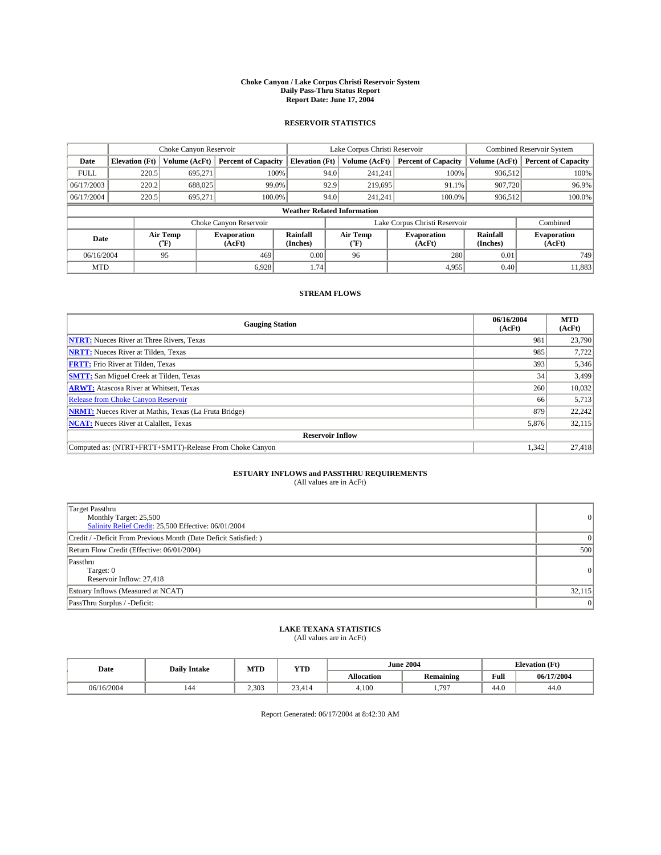#### **Choke Canyon / Lake Corpus Christi Reservoir System Daily Pass-Thru Status Report Report Date: June 17, 2004**

#### **RESERVOIR STATISTICS**

|             | Choke Canyon Reservoir             |                  |                              |                             | Lake Corpus Christi Reservoir |                  |                               |                             | <b>Combined Reservoir System</b> |  |
|-------------|------------------------------------|------------------|------------------------------|-----------------------------|-------------------------------|------------------|-------------------------------|-----------------------------|----------------------------------|--|
| Date        | <b>Elevation</b> (Ft)              | Volume (AcFt)    | <b>Percent of Capacity</b>   | <b>Elevation</b> (Ft)       |                               | Volume (AcFt)    | <b>Percent of Capacity</b>    | Volume (AcFt)               | <b>Percent of Capacity</b>       |  |
| <b>FULL</b> | 220.5                              | 695,271          |                              | 100%                        | 94.0                          | 241,241          | 100%                          | 936.512                     | 100%                             |  |
| 06/17/2003  | 220.2                              | 688,025          | 99.0%                        |                             | 92.9                          | 219,695          | 91.1%                         | 907.720                     | 96.9%                            |  |
| 06/17/2004  | 220.5                              | 695.271          | 100.0%                       |                             | 94.0                          | 241.241          | $100.0\%$                     | 936,512                     | 100.0%                           |  |
|             | <b>Weather Related Information</b> |                  |                              |                             |                               |                  |                               |                             |                                  |  |
|             |                                    |                  | Choke Canyon Reservoir       |                             |                               |                  | Lake Corpus Christi Reservoir |                             | Combined                         |  |
| Date        |                                    | Air Temp<br>(°F) | <b>Evaporation</b><br>(AcFt) | <b>Rainfall</b><br>(Inches) |                               | Air Temp<br>("F) | <b>Evaporation</b><br>(AcFt)  | <b>Rainfall</b><br>(Inches) | <b>Evaporation</b><br>(AcFt)     |  |
| 06/16/2004  |                                    | 95               | 469                          | 0.00                        |                               | 96               | 280                           | 0.01                        | 749                              |  |
| <b>MTD</b>  |                                    |                  | 6,928                        | 1.74                        |                               |                  | 4,955                         | 0.40                        | 11,883                           |  |

### **STREAM FLOWS**

| <b>Gauging Station</b>                                       | 06/16/2004<br>(AcFt) | <b>MTD</b><br>(AcFt) |
|--------------------------------------------------------------|----------------------|----------------------|
| <b>NTRT:</b> Nueces River at Three Rivers, Texas             | 981                  | 23,790               |
| <b>NRTT:</b> Nueces River at Tilden, Texas                   | 985                  | 7.722                |
| <b>FRTT:</b> Frio River at Tilden, Texas                     | 393                  | 5,346                |
| <b>SMTT:</b> San Miguel Creek at Tilden, Texas               | 34                   | 3,499                |
| <b>ARWT:</b> Atascosa River at Whitsett, Texas               | 260                  | 10,032               |
| <b>Release from Choke Canyon Reservoir</b>                   | 66                   | 5,713                |
| <b>NRMT:</b> Nueces River at Mathis, Texas (La Fruta Bridge) | 879                  | 22.242               |
| <b>NCAT:</b> Nueces River at Calallen, Texas                 | 5,876                | 32,115               |
| <b>Reservoir Inflow</b>                                      |                      |                      |
| Computed as: (NTRT+FRTT+SMTT)-Release From Choke Canyon      | 1,342                | 27,418               |

## **ESTUARY INFLOWS and PASSTHRU REQUIREMENTS**<br>(All values are in AcFt)

| Target Passthru<br>Monthly Target: 25,500<br>Salinity Relief Credit: 25,500 Effective: 06/01/2004 | 0              |
|---------------------------------------------------------------------------------------------------|----------------|
| Credit / -Deficit From Previous Month (Date Deficit Satisfied: )                                  | $\Omega$       |
| Return Flow Credit (Effective: 06/01/2004)                                                        | 500            |
| Passthru<br>Target: 0<br>Reservoir Inflow: 27,418                                                 | 0              |
| Estuary Inflows (Measured at NCAT)                                                                | 32,115         |
| PassThru Surplus / -Deficit:                                                                      | $\overline{0}$ |

## **LAKE TEXANA STATISTICS** (All values are in AcFt)

| Date       | <b>Daily Intake</b> | MTD   | YTD    |                   | <b>June 2004</b> | <b>Elevation</b> (Ft) |            |
|------------|---------------------|-------|--------|-------------------|------------------|-----------------------|------------|
|            |                     |       |        | <b>Allocation</b> | <b>Remaining</b> | Full                  | 06/17/2004 |
| 06/16/2004 | 144                 | 2.303 | 23,414 | 4,100             | 797<br>          | $\sim$<br>44.U        | 44.0       |

Report Generated: 06/17/2004 at 8:42:30 AM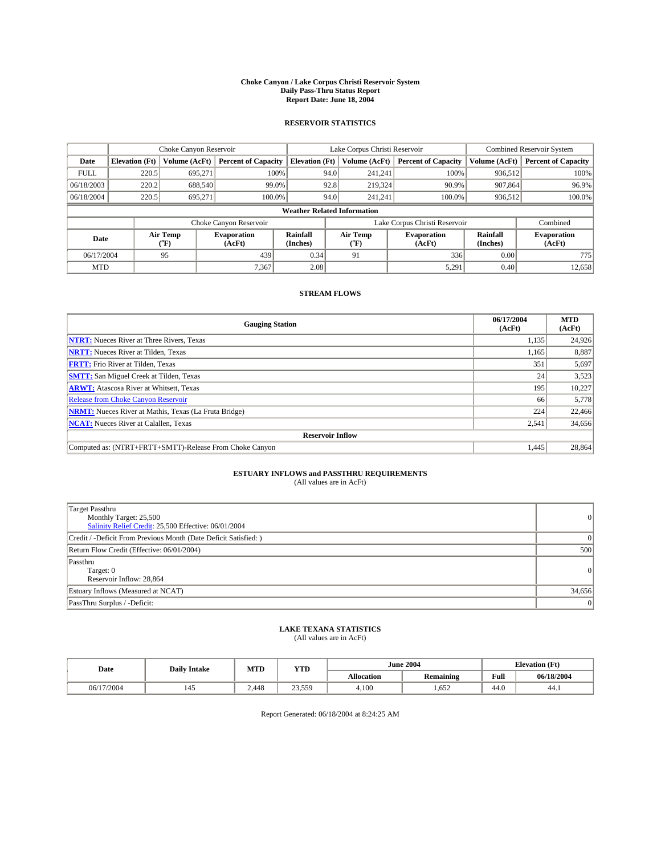#### **Choke Canyon / Lake Corpus Christi Reservoir System Daily Pass-Thru Status Report Report Date: June 18, 2004**

#### **RESERVOIR STATISTICS**

|             | Choke Canyon Reservoir             |                  | Lake Corpus Christi Reservoir |                       |      |                  | <b>Combined Reservoir System</b> |                      |                              |  |
|-------------|------------------------------------|------------------|-------------------------------|-----------------------|------|------------------|----------------------------------|----------------------|------------------------------|--|
| Date        | <b>Elevation</b> (Ft)              | Volume (AcFt)    | <b>Percent of Capacity</b>    | <b>Elevation (Ft)</b> |      | Volume (AcFt)    | <b>Percent of Capacity</b>       | Volume (AcFt)        | <b>Percent of Capacity</b>   |  |
| <b>FULL</b> | 220.5                              | 695,271          | 100%                          |                       | 94.0 | 241,241          | 100%                             | 936.512              | 100%                         |  |
| 06/18/2003  | 220.2                              | 688,540          | 99.0%                         |                       | 92.8 | 219.324          | 90.9%                            | 907.864              | 96.9%                        |  |
| 06/18/2004  | 220.5                              | 695.271          | 100.0%                        |                       | 94.0 | 241.241          | $100.0\%$                        | 936,512              | 100.0%                       |  |
|             | <b>Weather Related Information</b> |                  |                               |                       |      |                  |                                  |                      |                              |  |
|             |                                    |                  | Choke Canyon Reservoir        |                       |      |                  | Lake Corpus Christi Reservoir    |                      | Combined                     |  |
| Date        |                                    | Air Temp<br>(°F) | <b>Evaporation</b><br>(AcFt)  | Rainfall<br>(Inches)  |      | Air Temp<br>("F) | <b>Evaporation</b><br>(AcFt)     | Rainfall<br>(Inches) | <b>Evaporation</b><br>(AcFt) |  |
| 06/17/2004  |                                    | 95               | 439                           | 0.34                  |      | 91               | 336                              | 0.00                 | 775                          |  |
| <b>MTD</b>  |                                    |                  | 7,367                         | 2.08                  |      |                  | 5,291                            | 0.40                 | 12,658                       |  |

### **STREAM FLOWS**

| <b>Gauging Station</b>                                       | 06/17/2004<br>(AcFt) | <b>MTD</b><br>(AcFt) |
|--------------------------------------------------------------|----------------------|----------------------|
| <b>NTRT:</b> Nueces River at Three Rivers, Texas             | 1,135                | 24,926               |
| <b>NRTT:</b> Nueces River at Tilden, Texas                   | 1,165                | 8,887                |
| <b>FRTT:</b> Frio River at Tilden, Texas                     | 351                  | 5,697                |
| <b>SMTT:</b> San Miguel Creek at Tilden, Texas               | 24                   | 3,523                |
| <b>ARWT:</b> Atascosa River at Whitsett, Texas               | 195                  | 10,227               |
| <b>Release from Choke Canyon Reservoir</b>                   | 66                   | 5,778                |
| <b>NRMT:</b> Nueces River at Mathis, Texas (La Fruta Bridge) | 224                  | 22,466               |
| <b>NCAT:</b> Nueces River at Calallen, Texas                 | 2,541                | 34,656               |
| <b>Reservoir Inflow</b>                                      |                      |                      |
| Computed as: (NTRT+FRTT+SMTT)-Release From Choke Canyon      | 1.445                | 28,864               |

## **ESTUARY INFLOWS and PASSTHRU REQUIREMENTS**<br>(All values are in AcFt)

| Target Passthru<br>Monthly Target: 25,500<br>Salinity Relief Credit: 25,500 Effective: 06/01/2004 | $\Omega$ |
|---------------------------------------------------------------------------------------------------|----------|
| Credit / -Deficit From Previous Month (Date Deficit Satisfied: )                                  |          |
| Return Flow Credit (Effective: 06/01/2004)                                                        | 500      |
| Passthru<br>Target: 0<br>Reservoir Inflow: 28,864                                                 | $\Omega$ |
| Estuary Inflows (Measured at NCAT)                                                                | 34,656   |
| PassThru Surplus / -Deficit:                                                                      | 0        |

## **LAKE TEXANA STATISTICS** (All values are in AcFt)

| Date       | <b>Daily Intake</b> | MTD   | YTD                  |                   | <b>June 2004</b>                    |                 |            |
|------------|---------------------|-------|----------------------|-------------------|-------------------------------------|-----------------|------------|
|            |                     |       |                      | <b>Allocation</b> | $\cdot$ $\cdot$<br><b>Remaining</b> | Full            | 06/18/2004 |
| 06/17/2004 | 145                 | 2.448 | 23.559<br>د ر ر. ر ب | 4,100             | ,652                                | $\sim$<br>-44.6 | 44.1       |

Report Generated: 06/18/2004 at 8:24:25 AM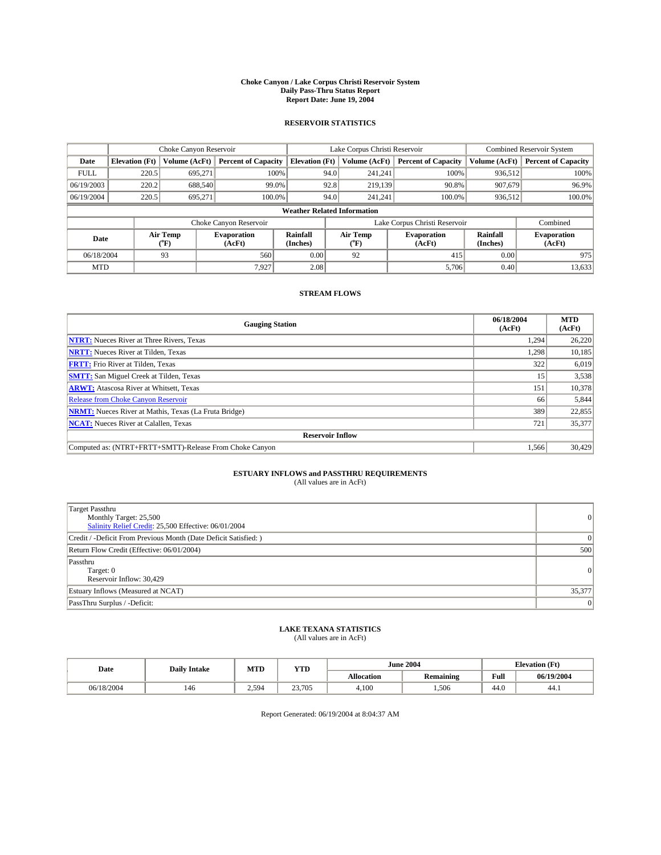#### **Choke Canyon / Lake Corpus Christi Reservoir System Daily Pass-Thru Status Report Report Date: June 19, 2004**

#### **RESERVOIR STATISTICS**

|                                    | Choke Canyon Reservoir |                             | Lake Corpus Christi Reservoir |                             |      |                  | <b>Combined Reservoir System</b> |                             |                              |
|------------------------------------|------------------------|-----------------------------|-------------------------------|-----------------------------|------|------------------|----------------------------------|-----------------------------|------------------------------|
| Date                               | <b>Elevation</b> (Ft)  | Volume (AcFt)               | <b>Percent of Capacity</b>    | <b>Elevation</b> (Ft)       |      | Volume (AcFt)    | <b>Percent of Capacity</b>       | Volume (AcFt)               | <b>Percent of Capacity</b>   |
| <b>FULL</b>                        | 220.5                  | 695,271                     |                               | 100%                        | 94.0 | 241,241          | 100%                             | 936.512                     | 100%                         |
| 06/19/2003                         | 220.2                  | 688.540                     | $99.0\%$                      |                             | 92.8 | 219,139          | 90.8%                            | 907,679                     | 96.9%                        |
| 06/19/2004                         | 220.5                  | 695.271                     | 100.0%                        |                             | 94.0 | 241.241          | $100.0\%$                        | 936,512                     | 100.0%                       |
| <b>Weather Related Information</b> |                        |                             |                               |                             |      |                  |                                  |                             |                              |
|                                    |                        |                             | Choke Canyon Reservoir        |                             |      |                  | Lake Corpus Christi Reservoir    |                             | Combined                     |
| Date                               |                        | Air Temp<br>${}^{\circ}$ F) | <b>Evaporation</b><br>(AcFt)  | <b>Rainfall</b><br>(Inches) |      | Air Temp<br>("F) | <b>Evaporation</b><br>(AcFt)     | <b>Rainfall</b><br>(Inches) | <b>Evaporation</b><br>(AcFt) |
| 06/18/2004                         |                        | 93                          | 560                           | 0.00                        |      | 92               | 415                              | 0.00                        | 975                          |
| <b>MTD</b>                         |                        |                             | 7,927                         | 2.08                        |      |                  | 5,706                            | 0.40                        | 13,633                       |

### **STREAM FLOWS**

| <b>Gauging Station</b>                                       | 06/18/2004<br>(AcFt) | <b>MTD</b><br>(AcFt) |  |  |  |  |
|--------------------------------------------------------------|----------------------|----------------------|--|--|--|--|
| <b>NTRT:</b> Nueces River at Three Rivers, Texas             | 1,294                | 26,220               |  |  |  |  |
| <b>NRTT:</b> Nueces River at Tilden, Texas                   | 1.298                | 10,185               |  |  |  |  |
| <b>FRTT:</b> Frio River at Tilden, Texas                     | 322                  | 6,019                |  |  |  |  |
| <b>SMTT:</b> San Miguel Creek at Tilden, Texas               | 15                   | 3,538                |  |  |  |  |
| <b>ARWT:</b> Atascosa River at Whitsett, Texas               | 151                  | 10,378               |  |  |  |  |
| <b>Release from Choke Canyon Reservoir</b>                   | 66                   | 5,844                |  |  |  |  |
| <b>NRMT:</b> Nueces River at Mathis, Texas (La Fruta Bridge) | 389                  | 22,855               |  |  |  |  |
| <b>NCAT:</b> Nueces River at Calallen, Texas                 | 721                  | 35,377               |  |  |  |  |
| <b>Reservoir Inflow</b>                                      |                      |                      |  |  |  |  |
| Computed as: (NTRT+FRTT+SMTT)-Release From Choke Canyon      | 1,566                | 30,429               |  |  |  |  |

## **ESTUARY INFLOWS and PASSTHRU REQUIREMENTS**<br>(All values are in AcFt)

| Target Passthru                                                                |                |
|--------------------------------------------------------------------------------|----------------|
| Monthly Target: 25,500<br>Salinity Relief Credit: 25,500 Effective: 06/01/2004 | $\Omega$       |
| Credit / -Deficit From Previous Month (Date Deficit Satisfied: )               |                |
| Return Flow Credit (Effective: 06/01/2004)                                     | 500            |
| Passthru<br>Target: 0<br>Reservoir Inflow: 30,429                              | $\Omega$       |
| Estuary Inflows (Measured at NCAT)                                             | 35,377         |
| PassThru Surplus / -Deficit:                                                   | $\overline{0}$ |

## **LAKE TEXANA STATISTICS** (All values are in AcFt)

| Date       | <b>Daily Intake</b> | MTD   | YTD    |                   | <b>June 2004</b>              |             | <b>Elevation</b> (Ft) |  |
|------------|---------------------|-------|--------|-------------------|-------------------------------|-------------|-----------------------|--|
|            |                     |       |        | <b>Allocation</b> | $\cdot$ .<br><b>Remaining</b> | Full        | 06/19/2004            |  |
| 06/18/2004 | 146                 | 2.594 | 23,705 | 4,100             | .506                          | . .<br>44.U | 44.1                  |  |

Report Generated: 06/19/2004 at 8:04:37 AM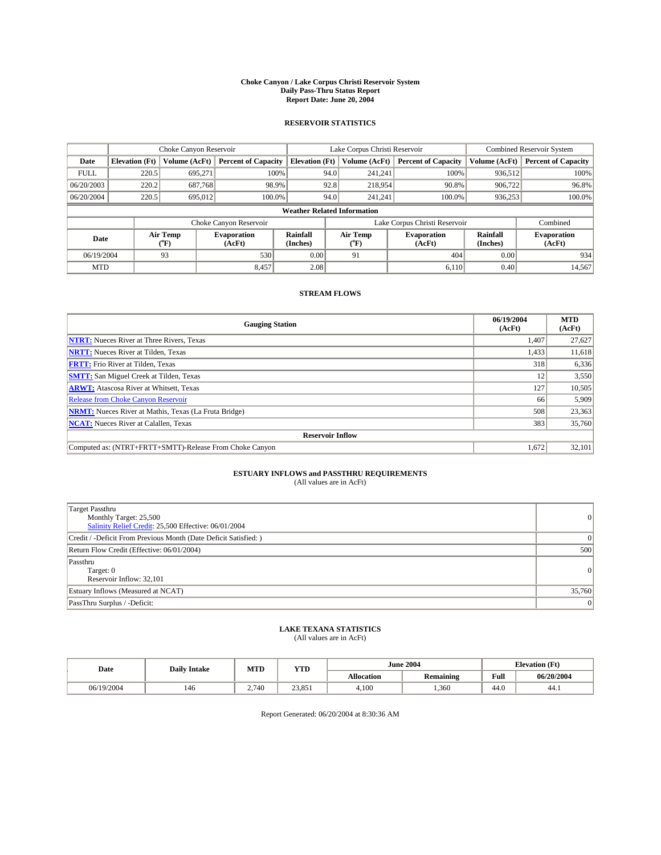#### **Choke Canyon / Lake Corpus Christi Reservoir System Daily Pass-Thru Status Report Report Date: June 20, 2004**

#### **RESERVOIR STATISTICS**

|                                    | Choke Canyon Reservoir |                  | Lake Corpus Christi Reservoir |                             |      |                  | <b>Combined Reservoir System</b> |                             |                              |
|------------------------------------|------------------------|------------------|-------------------------------|-----------------------------|------|------------------|----------------------------------|-----------------------------|------------------------------|
| Date                               | <b>Elevation</b> (Ft)  | Volume (AcFt)    | <b>Percent of Capacity</b>    | <b>Elevation</b> (Ft)       |      | Volume (AcFt)    | <b>Percent of Capacity</b>       | Volume (AcFt)               | <b>Percent of Capacity</b>   |
| <b>FULL</b>                        | 220.5                  | 695,271          |                               | 100%                        | 94.0 | 241,241          | 100%                             | 936.512                     | 100%                         |
| 06/20/2003                         | 220.2                  | 687,768          | 98.9%                         |                             | 92.8 | 218,954          | 90.8%                            | 906.722                     | 96.8%                        |
| 06/20/2004                         | 220.5                  | 695,012          | 100.0%                        |                             | 94.0 | 241.241          | $100.0\%$                        | 936,253                     | 100.0%                       |
| <b>Weather Related Information</b> |                        |                  |                               |                             |      |                  |                                  |                             |                              |
|                                    |                        |                  | Choke Canyon Reservoir        |                             |      |                  | Lake Corpus Christi Reservoir    |                             | Combined                     |
| Date                               |                        | Air Temp<br>(°F) | <b>Evaporation</b><br>(AcFt)  | <b>Rainfall</b><br>(Inches) |      | Air Temp<br>("F) | <b>Evaporation</b><br>(AcFt)     | <b>Rainfall</b><br>(Inches) | <b>Evaporation</b><br>(AcFt) |
| 06/19/2004                         |                        | 93               | 530                           | 0.00                        |      | 91               | 404                              | 0.00                        | 934                          |
| <b>MTD</b>                         |                        |                  | 8,457                         | 2.08                        |      |                  | 6,110                            | 0.40                        | 14,567                       |

### **STREAM FLOWS**

| <b>Gauging Station</b>                                       | 06/19/2004<br>(AcFt) | <b>MTD</b><br>(AcFt) |  |  |  |  |
|--------------------------------------------------------------|----------------------|----------------------|--|--|--|--|
| <b>NTRT:</b> Nueces River at Three Rivers, Texas             | 1,407                | 27,627               |  |  |  |  |
| <b>NRTT:</b> Nueces River at Tilden, Texas                   | 1,433                | 11,618               |  |  |  |  |
| <b>FRTT:</b> Frio River at Tilden, Texas                     | 318                  | 6,336                |  |  |  |  |
| <b>SMTT:</b> San Miguel Creek at Tilden, Texas               | 12                   | 3,550                |  |  |  |  |
| <b>ARWT:</b> Atascosa River at Whitsett, Texas               | 127                  | 10,505               |  |  |  |  |
| <b>Release from Choke Canyon Reservoir</b>                   | 66                   | 5,909                |  |  |  |  |
| <b>NRMT:</b> Nueces River at Mathis, Texas (La Fruta Bridge) | 508                  | 23,363               |  |  |  |  |
| <b>NCAT:</b> Nueces River at Calallen, Texas                 | 383                  | 35,760               |  |  |  |  |
| <b>Reservoir Inflow</b>                                      |                      |                      |  |  |  |  |
| Computed as: (NTRT+FRTT+SMTT)-Release From Choke Canyon      | 1,672                | 32,101               |  |  |  |  |

## **ESTUARY INFLOWS and PASSTHRU REQUIREMENTS**<br>(All values are in AcFt)

| Target Passthru<br>Monthly Target: 25,500                                                                                | $\Omega$       |
|--------------------------------------------------------------------------------------------------------------------------|----------------|
| Salinity Relief Credit: 25,500 Effective: 06/01/2004<br>Credit / -Deficit From Previous Month (Date Deficit Satisfied: ) |                |
| Return Flow Credit (Effective: 06/01/2004)                                                                               | 500            |
| Passthru<br>Target: 0<br>Reservoir Inflow: 32,101                                                                        | $\Omega$       |
| Estuary Inflows (Measured at NCAT)                                                                                       | 35,760         |
| PassThru Surplus / -Deficit:                                                                                             | $\overline{0}$ |

# **LAKE TEXANA STATISTICS** (All values are in AcFt)

| Date       | <b>Daily Intake</b> | MTD   | <b>YTD</b> |                   | <b>June 2004</b> | <b>Elevation</b> (Ft) |            |
|------------|---------------------|-------|------------|-------------------|------------------|-----------------------|------------|
|            |                     |       |            | <b>Allocation</b> | <b>Remaining</b> | Full                  | 06/20/2004 |
| 06/19/2004 | 146                 | 2.740 | 23,851     | 4,100             | ,360             | 44.0                  | 44.1       |

Report Generated: 06/20/2004 at 8:30:36 AM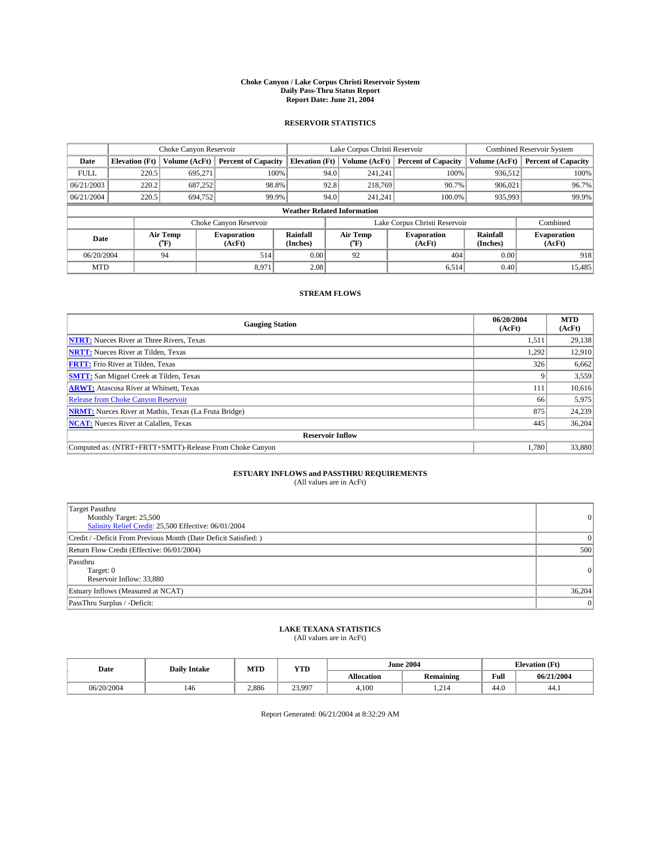#### **Choke Canyon / Lake Corpus Christi Reservoir System Daily Pass-Thru Status Report Report Date: June 21, 2004**

#### **RESERVOIR STATISTICS**

|                                    | Choke Canyon Reservoir |                             | Lake Corpus Christi Reservoir |                             |      |                  | <b>Combined Reservoir System</b> |                      |                              |
|------------------------------------|------------------------|-----------------------------|-------------------------------|-----------------------------|------|------------------|----------------------------------|----------------------|------------------------------|
| Date                               | <b>Elevation</b> (Ft)  | Volume (AcFt)               | <b>Percent of Capacity</b>    | <b>Elevation</b> (Ft)       |      | Volume (AcFt)    | <b>Percent of Capacity</b>       | Volume (AcFt)        | <b>Percent of Capacity</b>   |
| <b>FULL</b>                        | 220.5                  | 695,271                     |                               | 100%                        | 94.0 | 241,241          | 100%                             | 936.512              | 100%                         |
| 06/21/2003                         | 220.2                  | 687,252                     | 98.8%                         |                             | 92.8 | 218,769          | 90.7%                            | 906.021              | 96.7%                        |
| 06/21/2004                         | 220.5                  | 694,752                     | 99.9%                         |                             | 94.0 | 241.241          | $100.0\%$                        | 935,993              | 99.9%                        |
| <b>Weather Related Information</b> |                        |                             |                               |                             |      |                  |                                  |                      |                              |
|                                    |                        |                             | Choke Canyon Reservoir        |                             |      |                  | Lake Corpus Christi Reservoir    |                      | Combined                     |
| Date                               |                        | Air Temp<br>${}^{\circ}$ F) | <b>Evaporation</b><br>(AcFt)  | <b>Rainfall</b><br>(Inches) |      | Air Temp<br>("F) | <b>Evaporation</b><br>(AcFt)     | Rainfall<br>(Inches) | <b>Evaporation</b><br>(AcFt) |
| 06/20/2004                         |                        | 94                          | 514                           | 0.00                        |      | 92               | 404                              | 0.00                 | 918                          |
| <b>MTD</b>                         |                        |                             | 8,971                         | 2.08                        |      |                  | 6,514                            | 0.40                 | 15,485                       |

### **STREAM FLOWS**

| <b>Gauging Station</b>                                       | 06/20/2004<br>(AcFt) | <b>MTD</b><br>(AcFt) |  |  |  |  |  |
|--------------------------------------------------------------|----------------------|----------------------|--|--|--|--|--|
| <b>NTRT:</b> Nueces River at Three Rivers, Texas             | 1,511                | 29,138               |  |  |  |  |  |
| <b>NRTT:</b> Nueces River at Tilden, Texas                   | 1.292                | 12.910               |  |  |  |  |  |
| <b>FRTT:</b> Frio River at Tilden, Texas                     | 326                  | 6,662                |  |  |  |  |  |
| <b>SMTT:</b> San Miguel Creek at Tilden, Texas               |                      | 3,559                |  |  |  |  |  |
| <b>ARWT:</b> Atascosa River at Whitsett, Texas               | 111                  | 10,616               |  |  |  |  |  |
| <b>Release from Choke Canyon Reservoir</b>                   | 66                   | 5,975                |  |  |  |  |  |
| <b>NRMT:</b> Nueces River at Mathis, Texas (La Fruta Bridge) | 875                  | 24,239               |  |  |  |  |  |
| <b>NCAT:</b> Nueces River at Calallen, Texas                 | 445                  | 36,204               |  |  |  |  |  |
| <b>Reservoir Inflow</b>                                      |                      |                      |  |  |  |  |  |
| Computed as: (NTRT+FRTT+SMTT)-Release From Choke Canvon      | 1.780                | 33,880               |  |  |  |  |  |

## **ESTUARY INFLOWS and PASSTHRU REQUIREMENTS**<br>(All values are in AcFt)

| <b>Target Passthru</b><br>Monthly Target: 25,500<br>Salinity Relief Credit: 25,500 Effective: 06/01/2004 | 0              |
|----------------------------------------------------------------------------------------------------------|----------------|
| Credit / -Deficit From Previous Month (Date Deficit Satisfied: )                                         | $\Omega$       |
| Return Flow Credit (Effective: 06/01/2004)                                                               | 500            |
| Passthru<br>Target: 0<br>Reservoir Inflow: 33,880                                                        | 0              |
| Estuary Inflows (Measured at NCAT)                                                                       | 36,204         |
| PassThru Surplus / -Deficit:                                                                             | $\overline{0}$ |

# **LAKE TEXANA STATISTICS** (All values are in AcFt)

| Date       | <b>Daily Intake</b> | MTD   | <b>YTD</b> |                   | <b>June 2004</b> | <b>Elevation</b> (Ft) |            |
|------------|---------------------|-------|------------|-------------------|------------------|-----------------------|------------|
|            |                     |       |            | <b>Allocation</b> | <b>Remaining</b> | Full                  | 06/21/2004 |
| 06/20/2004 | 146                 | 2,886 | 23,997     | 4,100             | 1.21             | 44.0                  | 44.1       |

Report Generated: 06/21/2004 at 8:32:29 AM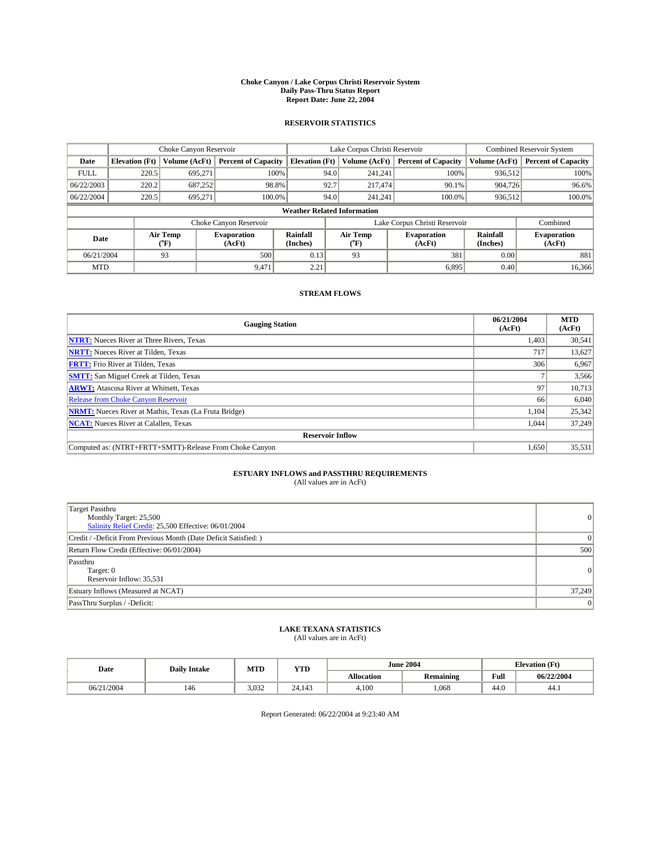#### **Choke Canyon / Lake Corpus Christi Reservoir System Daily Pass-Thru Status Report Report Date: June 22, 2004**

#### **RESERVOIR STATISTICS**

|             | Choke Canyon Reservoir             |                             |                              |                             | Lake Corpus Christi Reservoir |                  |                               |                      | Combined Reservoir System    |  |  |
|-------------|------------------------------------|-----------------------------|------------------------------|-----------------------------|-------------------------------|------------------|-------------------------------|----------------------|------------------------------|--|--|
| Date        | <b>Elevation</b> (Ft)              | Volume (AcFt)               | <b>Percent of Capacity</b>   | <b>Elevation</b> (Ft)       |                               | Volume (AcFt)    | <b>Percent of Capacity</b>    | Volume (AcFt)        | <b>Percent of Capacity</b>   |  |  |
| <b>FULL</b> | 220.5                              | 695,271                     |                              | 100%                        | 94.0                          | 241,241          | 100%                          | 936.512              | 100%                         |  |  |
| 06/22/2003  | 220.2                              | 687,252                     | 98.8%                        |                             | 92.7                          | 217,474          | $90.1\%$                      | 904,726              | 96.6%                        |  |  |
| 06/22/2004  | 220.5                              | 695.271                     | 100.0%                       |                             | 94.0                          | 241.241          | $100.0\%$                     | 936,512              | 100.0%                       |  |  |
|             | <b>Weather Related Information</b> |                             |                              |                             |                               |                  |                               |                      |                              |  |  |
|             |                                    |                             | Choke Canyon Reservoir       |                             |                               |                  | Lake Corpus Christi Reservoir |                      | Combined                     |  |  |
| Date        |                                    | Air Temp<br>${}^{\circ}$ F) | <b>Evaporation</b><br>(AcFt) | <b>Rainfall</b><br>(Inches) |                               | Air Temp<br>("F) | <b>Evaporation</b><br>(AcFt)  | Rainfall<br>(Inches) | <b>Evaporation</b><br>(AcFt) |  |  |
| 06/21/2004  |                                    | 93                          | 500                          | 0.13                        |                               | 93               | 381                           | 0.00                 | 881                          |  |  |
| <b>MTD</b>  |                                    |                             | 9,471                        | 2.21                        |                               |                  | 6,895                         | 0.40                 | 16,366                       |  |  |

### **STREAM FLOWS**

| <b>Gauging Station</b>                                       | 06/21/2004<br>(AcFt) | <b>MTD</b><br>(AcFt) |
|--------------------------------------------------------------|----------------------|----------------------|
| <b>NTRT:</b> Nueces River at Three Rivers, Texas             | 1,403                | 30,541               |
| <b>NRTT:</b> Nueces River at Tilden, Texas                   | 717                  | 13,627               |
| <b>FRTT:</b> Frio River at Tilden, Texas                     | 306                  | 6,967                |
| <b>SMTT:</b> San Miguel Creek at Tilden, Texas               |                      | 3,566                |
| <b>ARWT:</b> Atascosa River at Whitsett, Texas               | 97                   | 10,713               |
| <b>Release from Choke Canyon Reservoir</b>                   | 66                   | 6,040                |
| <b>NRMT:</b> Nueces River at Mathis, Texas (La Fruta Bridge) | 1.104                | 25,342               |
| <b>NCAT:</b> Nueces River at Calallen, Texas                 | 1,044                | 37,249               |
| <b>Reservoir Inflow</b>                                      |                      |                      |
| Computed as: (NTRT+FRTT+SMTT)-Release From Choke Canvon      | 1.650                | 35,531               |

## **ESTUARY INFLOWS and PASSTHRU REQUIREMENTS**<br>(All values are in AcFt)

| Target Passthru<br>Monthly Target: 25,500<br>Salinity Relief Credit: 25,500 Effective: 06/01/2004 | $\Omega$ |
|---------------------------------------------------------------------------------------------------|----------|
| Credit / -Deficit From Previous Month (Date Deficit Satisfied: )                                  |          |
| Return Flow Credit (Effective: 06/01/2004)                                                        | 500      |
| Passthru<br>Target: 0<br>Reservoir Inflow: 35,531                                                 | $\Omega$ |
| Estuary Inflows (Measured at NCAT)                                                                | 37,249   |
| PassThru Surplus / -Deficit:                                                                      | 0        |

# **LAKE TEXANA STATISTICS** (All values are in AcFt)

| Date       | <b>Daily Intake</b> | MTD   | <b>YTD</b> |                   | <b>June 2004</b> | <b>Elevation</b> (Ft) |            |
|------------|---------------------|-------|------------|-------------------|------------------|-----------------------|------------|
|            |                     |       |            | <b>Allocation</b> | Remaining        | Full                  | 06/22/2004 |
| 06/21/2004 | 146                 | 3.032 | 24.143     | 4,100             | .068             | 44.0                  | 44.1       |

Report Generated: 06/22/2004 at 9:23:40 AM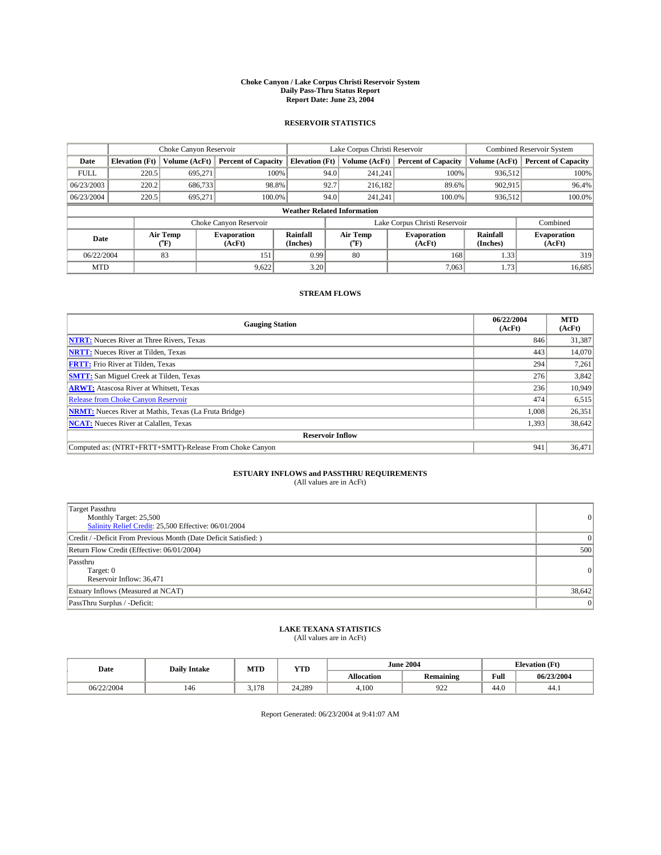#### **Choke Canyon / Lake Corpus Christi Reservoir System Daily Pass-Thru Status Report Report Date: June 23, 2004**

#### **RESERVOIR STATISTICS**

|                                    | Choke Canyon Reservoir |                  |                              |                             | Lake Corpus Christi Reservoir |                         |                               |                      | <b>Combined Reservoir System</b> |  |
|------------------------------------|------------------------|------------------|------------------------------|-----------------------------|-------------------------------|-------------------------|-------------------------------|----------------------|----------------------------------|--|
| Date                               | <b>Elevation</b> (Ft)  | Volume (AcFt)    | <b>Percent of Capacity</b>   | <b>Elevation</b> (Ft)       |                               | Volume (AcFt)           | <b>Percent of Capacity</b>    | Volume (AcFt)        | <b>Percent of Capacity</b>       |  |
| <b>FULL</b>                        | 220.5                  | 695,271          |                              | 100%                        | 94.0                          | 241,241                 | 100%                          | 936,512              | 100%                             |  |
| 06/23/2003                         | 220.2                  | 686,733          |                              | 98.8%                       | 92.7                          | 216.182                 | 89.6%                         | 902.915              | 96.4%                            |  |
| 06/23/2004                         | 220.5                  | 695,271          | 100.0%                       |                             | 94.0                          | 241,241                 | 100.0%                        | 936,512              | 100.0%                           |  |
| <b>Weather Related Information</b> |                        |                  |                              |                             |                               |                         |                               |                      |                                  |  |
|                                    |                        |                  | Choke Canyon Reservoir       |                             |                               |                         | Lake Corpus Christi Reservoir |                      | Combined                         |  |
| Date                               |                        | Air Temp<br>(°F) | <b>Evaporation</b><br>(AcFt) | <b>Rainfall</b><br>(Inches) |                               | Air Temp<br>$\rm ^{op}$ | <b>Evaporation</b><br>(AcFt)  | Rainfall<br>(Inches) | <b>Evaporation</b><br>(AcFt)     |  |
| 06/22/2004                         |                        | 83               | 151                          | 0.99                        |                               | 80                      | 168                           | 1.33                 | 319                              |  |
| <b>MTD</b>                         |                        |                  | 9,622                        | 3.20                        |                               |                         | 7,063                         | 1.73                 | 16,685                           |  |

### **STREAM FLOWS**

| <b>Gauging Station</b>                                       | 06/22/2004<br>(AcFt) | <b>MTD</b><br>(AcFt) |
|--------------------------------------------------------------|----------------------|----------------------|
| <b>NTRT:</b> Nueces River at Three Rivers, Texas             | 846                  | 31,387               |
| <b>NRTT:</b> Nueces River at Tilden, Texas                   | 443                  | 14.070               |
| <b>FRTT:</b> Frio River at Tilden, Texas                     | 294                  | 7,261                |
| <b>SMTT:</b> San Miguel Creek at Tilden, Texas               | 276                  | 3,842                |
| <b>ARWT:</b> Atascosa River at Whitsett, Texas               | 236                  | 10,949               |
| <b>Release from Choke Canyon Reservoir</b>                   | 474                  | 6,515                |
| <b>NRMT:</b> Nueces River at Mathis, Texas (La Fruta Bridge) | 1,008                | 26,351               |
| <b>NCAT:</b> Nueces River at Calallen, Texas                 | 1,393                | 38,642               |
| <b>Reservoir Inflow</b>                                      |                      |                      |
| Computed as: (NTRT+FRTT+SMTT)-Release From Choke Canyon      | 941                  | 36,471               |

## **ESTUARY INFLOWS and PASSTHRU REQUIREMENTS**<br>(All values are in AcFt)

| Target Passthru<br>Monthly Target: 25,500<br>Salinity Relief Credit: 25,500 Effective: 06/01/2004 | $\Omega$ |
|---------------------------------------------------------------------------------------------------|----------|
| Credit / -Deficit From Previous Month (Date Deficit Satisfied: )                                  |          |
| Return Flow Credit (Effective: 06/01/2004)                                                        | 500      |
| Passthru<br>Target: 0<br>Reservoir Inflow: 36,471                                                 | $\Omega$ |
| Estuary Inflows (Measured at NCAT)                                                                | 38,642   |
| PassThru Surplus / -Deficit:                                                                      | 0        |

# **LAKE TEXANA STATISTICS** (All values are in AcFt)

| Date       | <b>Daily Intake</b> | MTD   | <b>YTD</b> |                   | <b>June 2004</b>         | <b>Elevation</b> (Ft) |            |
|------------|---------------------|-------|------------|-------------------|--------------------------|-----------------------|------------|
|            |                     |       |            | <b>Allocation</b> | Remaining                | Full                  | 06/23/2004 |
| 06/22/2004 | 146                 | 3.178 | 24,289     | 4,100             | $\Omega^{\sigma}$<br>24L | 44.0                  | 44.1       |

Report Generated: 06/23/2004 at 9:41:07 AM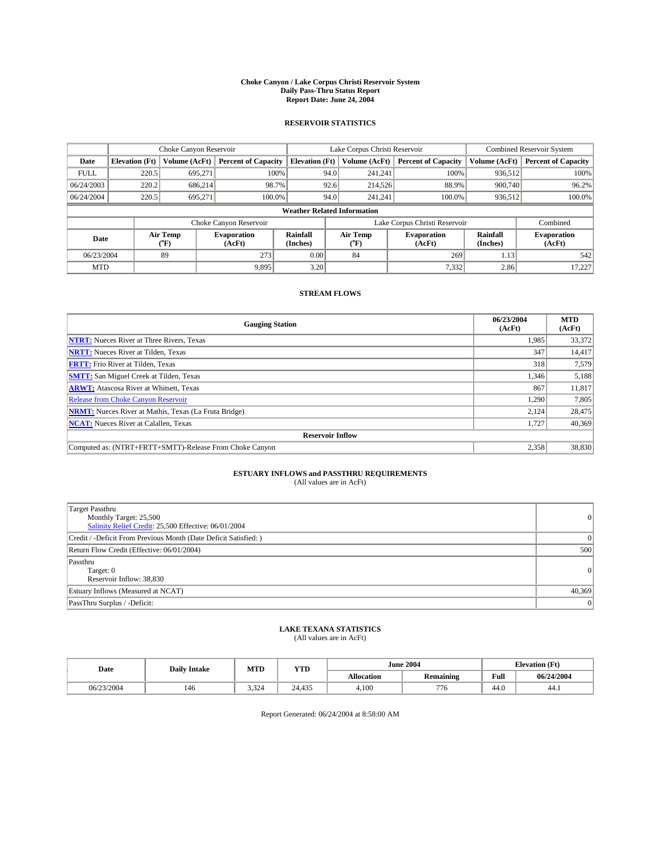#### **Choke Canyon / Lake Corpus Christi Reservoir System Daily Pass-Thru Status Report Report Date: June 24, 2004**

#### **RESERVOIR STATISTICS**

|                                    | Choke Canyon Reservoir |                          |                              |                       | Lake Corpus Christi Reservoir |                  |                               |                      | Combined Reservoir System    |  |  |
|------------------------------------|------------------------|--------------------------|------------------------------|-----------------------|-------------------------------|------------------|-------------------------------|----------------------|------------------------------|--|--|
| Date                               | <b>Elevation</b> (Ft)  | Volume (AcFt)            | <b>Percent of Capacity</b>   | <b>Elevation</b> (Ft) |                               | Volume (AcFt)    | <b>Percent of Capacity</b>    | Volume (AcFt)        | <b>Percent of Capacity</b>   |  |  |
| <b>FULL</b>                        | 220.5                  | 695.271                  | 100%                         |                       | 94.0                          | 241,241          | 100%                          | 936,512              | 100%                         |  |  |
| 06/24/2003                         | 220.2                  | 686.214                  | 98.7%                        |                       | 92.6                          | 214,526          | 88.9%                         | 900,740              | 96.2%                        |  |  |
| 06/24/2004                         | 220.5                  | 695.271                  | $100.0\%$                    |                       | 94.0                          | 241,241          | $100.0\%$                     | 936,512              | 100.0%                       |  |  |
| <b>Weather Related Information</b> |                        |                          |                              |                       |                               |                  |                               |                      |                              |  |  |
|                                    |                        |                          | Choke Canyon Reservoir       |                       |                               |                  | Lake Corpus Christi Reservoir |                      | Combined                     |  |  |
| Date                               |                        | Air Temp<br>$\rm ^{o}F)$ | <b>Evaporation</b><br>(AcFt) | Rainfall<br>(Inches)  |                               | Air Temp<br>("F) | <b>Evaporation</b><br>(AcFt)  | Rainfall<br>(Inches) | <b>Evaporation</b><br>(AcFt) |  |  |
| 06/23/2004                         |                        | 89                       | 273                          | 0.00                  |                               | 84               | 269                           | 1.13                 | 542                          |  |  |
| <b>MTD</b>                         |                        |                          | 9,895                        | 3.20                  |                               |                  | 7,332                         | 2.86                 | 17,227                       |  |  |

### **STREAM FLOWS**

| <b>Gauging Station</b>                                       | 06/23/2004<br>(AcFt) | <b>MTD</b><br>(AcFt) |
|--------------------------------------------------------------|----------------------|----------------------|
| <b>NTRT:</b> Nueces River at Three Rivers, Texas             | 1,985                | 33,372               |
| <b>NRTT:</b> Nueces River at Tilden, Texas                   | 347                  | 14,417               |
| <b>FRTT:</b> Frio River at Tilden, Texas                     | 318                  | 7,579                |
| <b>SMTT:</b> San Miguel Creek at Tilden, Texas               | 1,346                | 5,188                |
| <b>ARWT:</b> Atascosa River at Whitsett, Texas               | 867                  | 11,817               |
| <b>Release from Choke Canyon Reservoir</b>                   | 1,290                | 7,805                |
| <b>NRMT:</b> Nueces River at Mathis, Texas (La Fruta Bridge) | 2.124                | 28,475               |
| <b>NCAT:</b> Nueces River at Calallen, Texas                 | 1,727                | 40,369               |
| <b>Reservoir Inflow</b>                                      |                      |                      |
| Computed as: (NTRT+FRTT+SMTT)-Release From Choke Canvon      | 2,358                | 38,830               |

## **ESTUARY INFLOWS and PASSTHRU REQUIREMENTS**<br>(All values are in AcFt)

| <b>Target Passthru</b><br>Monthly Target: 25,500<br>Salinity Relief Credit: 25,500 Effective: 06/01/2004 | $\Omega$ |
|----------------------------------------------------------------------------------------------------------|----------|
| Credit / -Deficit From Previous Month (Date Deficit Satisfied: )                                         |          |
| Return Flow Credit (Effective: 06/01/2004)                                                               | 500      |
| Passthru<br>Target: 0<br>Reservoir Inflow: 38,830                                                        | $\Omega$ |
| Estuary Inflows (Measured at NCAT)                                                                       | 40,369   |
| PassThru Surplus / -Deficit:                                                                             | 0        |

## **LAKE TEXANA STATISTICS** (All values are in AcFt)

| Date       | <b>Daily Intake</b> | MTD   | YTD                        |                   | <b>June 2004</b>             | <b>Elevation</b> (Ft) |            |
|------------|---------------------|-------|----------------------------|-------------------|------------------------------|-----------------------|------------|
|            |                     |       |                            | <b>Allocation</b> | $\cdots$<br><b>Remaining</b> | Full                  | 06/24/2004 |
| 06/23/2004 | 146                 | 3.324 | 24,435<br>$\sim$ $\lambda$ | 4,100             | 776                          | . .<br>44.U           | 44.1       |

Report Generated: 06/24/2004 at 8:58:00 AM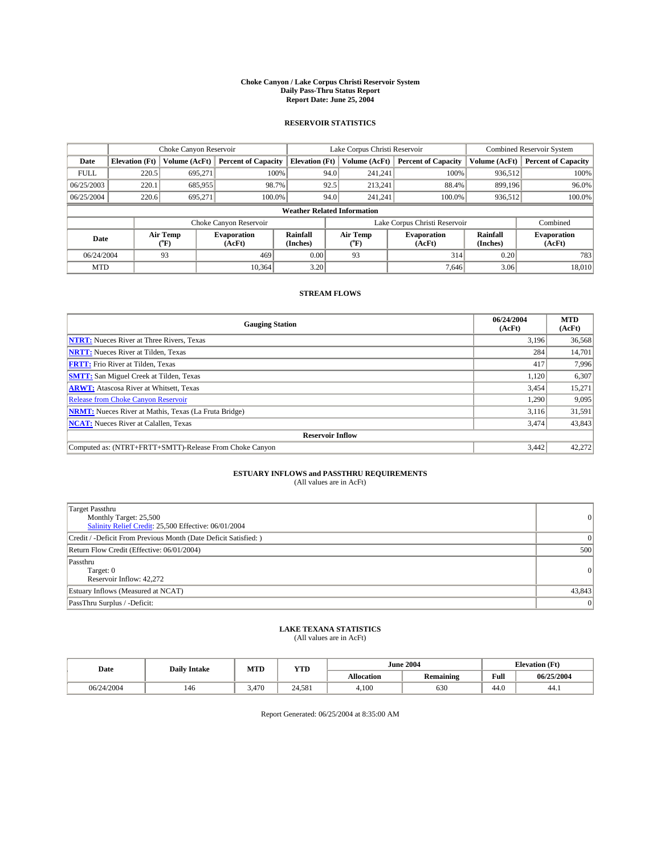#### **Choke Canyon / Lake Corpus Christi Reservoir System Daily Pass-Thru Status Report Report Date: June 25, 2004**

#### **RESERVOIR STATISTICS**

|             | Choke Canyon Reservoir             |                  |                              |                             | Lake Corpus Christi Reservoir |                  |                               |                             | Combined Reservoir System    |  |
|-------------|------------------------------------|------------------|------------------------------|-----------------------------|-------------------------------|------------------|-------------------------------|-----------------------------|------------------------------|--|
| Date        | <b>Elevation</b> (Ft)              | Volume (AcFt)    | <b>Percent of Capacity</b>   | <b>Elevation</b> (Ft)       |                               | Volume (AcFt)    | <b>Percent of Capacity</b>    | Volume (AcFt)               | <b>Percent of Capacity</b>   |  |
| <b>FULL</b> | 220.5                              | 695,271          | 100%                         |                             | 94.0                          | 241,241          | 100%                          | 936.512                     | 100%                         |  |
| 06/25/2003  | 220.1                              | 685,955          | 98.7%                        |                             | 92.5                          | 213.241          | 88.4%                         | 899,196                     | 96.0%                        |  |
| 06/25/2004  | 220.6                              | 695.271          | 100.0%                       |                             | 94.0                          | 241.241          | $100.0\%$                     | 936,512                     | 100.0%                       |  |
|             | <b>Weather Related Information</b> |                  |                              |                             |                               |                  |                               |                             |                              |  |
|             |                                    |                  | Choke Canyon Reservoir       |                             |                               |                  | Lake Corpus Christi Reservoir |                             | Combined                     |  |
| Date        |                                    | Air Temp<br>(°F) | <b>Evaporation</b><br>(AcFt) | <b>Rainfall</b><br>(Inches) |                               | Air Temp<br>("F) | <b>Evaporation</b><br>(AcFt)  | <b>Rainfall</b><br>(Inches) | <b>Evaporation</b><br>(AcFt) |  |
| 06/24/2004  |                                    | 93               | 469                          | 0.00                        |                               | 93               | 314                           | 0.20                        | 783                          |  |
| <b>MTD</b>  |                                    |                  | 10.364                       | 3.20                        |                               |                  | 7,646                         | 3.06                        | 18,010                       |  |

### **STREAM FLOWS**

| <b>Gauging Station</b>                                       | 06/24/2004<br>(AcFt) | <b>MTD</b><br>(AcFt) |
|--------------------------------------------------------------|----------------------|----------------------|
| <b>NTRT:</b> Nueces River at Three Rivers, Texas             | 3,196                | 36,568               |
| <b>NRTT:</b> Nueces River at Tilden, Texas                   | 284                  | 14.701               |
| <b>FRTT:</b> Frio River at Tilden, Texas                     | 417                  | 7,996                |
| <b>SMTT:</b> San Miguel Creek at Tilden, Texas               | 1,120                | 6,307                |
| <b>ARWT:</b> Atascosa River at Whitsett, Texas               | 3,454                | 15,271               |
| <b>Release from Choke Canyon Reservoir</b>                   | 1.290                | 9,095                |
| <b>NRMT:</b> Nueces River at Mathis, Texas (La Fruta Bridge) | 3,116                | 31,591               |
| <b>NCAT:</b> Nueces River at Calallen, Texas                 | 3,474                | 43,843               |
| <b>Reservoir Inflow</b>                                      |                      |                      |
| Computed as: (NTRT+FRTT+SMTT)-Release From Choke Canyon      | 3.442                | 42,272               |

## **ESTUARY INFLOWS and PASSTHRU REQUIREMENTS**<br>(All values are in AcFt)

| Target Passthru<br>Monthly Target: 25,500<br>Salinity Relief Credit: 25,500 Effective: 06/01/2004 | 0              |
|---------------------------------------------------------------------------------------------------|----------------|
| Credit / -Deficit From Previous Month (Date Deficit Satisfied: )                                  | $\Omega$       |
| Return Flow Credit (Effective: 06/01/2004)                                                        | 500            |
| Passthru<br>Target: 0<br>Reservoir Inflow: 42,272                                                 | 0              |
| Estuary Inflows (Measured at NCAT)                                                                | 43,843         |
| PassThru Surplus / -Deficit:                                                                      | $\overline{0}$ |

# **LAKE TEXANA STATISTICS** (All values are in AcFt)

| Date       | <b>Daily Intake</b> | MTD   | <b>YTD</b> |                   | <b>June 2004</b> | <b>Elevation</b> (Ft) |            |
|------------|---------------------|-------|------------|-------------------|------------------|-----------------------|------------|
|            |                     |       |            | <b>Allocation</b> | <b>Remaining</b> | Full                  | 06/25/2004 |
| 06/24/2004 | 146                 | 3.470 | 24,581     | 4.100             | 630              | 44.0                  | 44.1       |

Report Generated: 06/25/2004 at 8:35:00 AM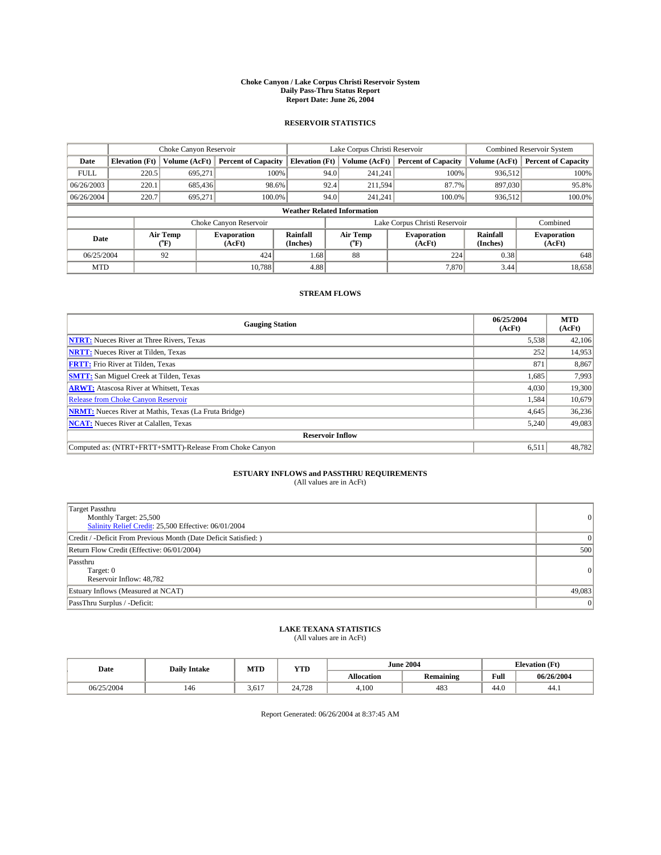#### **Choke Canyon / Lake Corpus Christi Reservoir System Daily Pass-Thru Status Report Report Date: June 26, 2004**

#### **RESERVOIR STATISTICS**

|                                    | Choke Canyon Reservoir |                             | Lake Corpus Christi Reservoir |                             |      |                  | Combined Reservoir System     |                             |                              |
|------------------------------------|------------------------|-----------------------------|-------------------------------|-----------------------------|------|------------------|-------------------------------|-----------------------------|------------------------------|
| Date                               | <b>Elevation</b> (Ft)  | Volume (AcFt)               | <b>Percent of Capacity</b>    | <b>Elevation</b> (Ft)       |      | Volume (AcFt)    | <b>Percent of Capacity</b>    | Volume (AcFt)               | <b>Percent of Capacity</b>   |
| <b>FULL</b>                        | 220.5                  | 695,271                     | 100%                          |                             | 94.0 | 241,241          | 100%                          | 936.512                     | 100%                         |
| 06/26/2003                         | 220.1                  | 685,436                     | 98.6%                         |                             | 92.4 | 211.594          | 87.7%                         | 897,030                     | 95.8%                        |
| 06/26/2004                         | 220.7                  | 695.271                     | 100.0%                        |                             | 94.0 | 241.241          | $100.0\%$                     | 936,512                     | 100.0%                       |
| <b>Weather Related Information</b> |                        |                             |                               |                             |      |                  |                               |                             |                              |
|                                    |                        |                             | Choke Canyon Reservoir        |                             |      |                  | Lake Corpus Christi Reservoir |                             | Combined                     |
| Date                               |                        | Air Temp<br>${}^{\circ}$ F) | <b>Evaporation</b><br>(AcFt)  | <b>Rainfall</b><br>(Inches) |      | Air Temp<br>("F) | <b>Evaporation</b><br>(AcFt)  | <b>Rainfall</b><br>(Inches) | <b>Evaporation</b><br>(AcFt) |
| 06/25/2004                         |                        | 92                          | 424                           | 1.68                        |      | 88               | 224                           | 0.38                        | 648                          |
| <b>MTD</b>                         |                        |                             | 10.788                        | 4.88                        |      |                  | 7,870                         | 3.44                        | 18,658                       |

### **STREAM FLOWS**

| <b>Gauging Station</b>                                       | 06/25/2004<br>(AcFt) | <b>MTD</b><br>(AcFt) |
|--------------------------------------------------------------|----------------------|----------------------|
| <b>NTRT:</b> Nueces River at Three Rivers, Texas             | 5,538                | 42,106               |
| <b>NRTT:</b> Nueces River at Tilden, Texas                   | 252                  | 14,953               |
| <b>FRTT:</b> Frio River at Tilden, Texas                     | 871                  | 8,867                |
| <b>SMTT:</b> San Miguel Creek at Tilden, Texas               | 1,685                | 7,993                |
| <b>ARWT:</b> Atascosa River at Whitsett, Texas               | 4,030                | 19,300               |
| <b>Release from Choke Canyon Reservoir</b>                   | 1,584                | 10,679               |
| <b>NRMT:</b> Nueces River at Mathis, Texas (La Fruta Bridge) | 4,645                | 36,236               |
| <b>NCAT:</b> Nueces River at Calallen, Texas                 | 5,240                | 49,083               |
| <b>Reservoir Inflow</b>                                      |                      |                      |
| Computed as: (NTRT+FRTT+SMTT)-Release From Choke Canyon      | 6,511                | 48,782               |

## **ESTUARY INFLOWS and PASSTHRU REQUIREMENTS**<br>(All values are in AcFt)

| Target Passthru<br>Monthly Target: 25,500<br>Salinity Relief Credit: 25,500 Effective: 06/01/2004 | $\Omega$ |
|---------------------------------------------------------------------------------------------------|----------|
| Credit / -Deficit From Previous Month (Date Deficit Satisfied: )                                  |          |
| Return Flow Credit (Effective: 06/01/2004)                                                        | 500      |
| Passthru<br>Target: 0<br>Reservoir Inflow: 48,782                                                 | $\Omega$ |
| Estuary Inflows (Measured at NCAT)                                                                | 49,083   |
| PassThru Surplus / -Deficit:                                                                      | 0        |

## **LAKE TEXANA STATISTICS** (All values are in AcFt)

| Date       | <b>Daily Intake</b> | MTD   | YTD               |                   | <b>June 2004</b>              | <b>Elevation</b> (Ft) |            |
|------------|---------------------|-------|-------------------|-------------------|-------------------------------|-----------------------|------------|
|            |                     |       |                   | <b>Allocation</b> | $\cdot$ .<br><b>Remaining</b> | Full                  | 06/26/2004 |
| 06/25/2004 | 146                 | 3,617 | 720<br>24.<br>740 | 4,100             | 483                           | . .<br>44.V           | 44.1       |

Report Generated: 06/26/2004 at 8:37:45 AM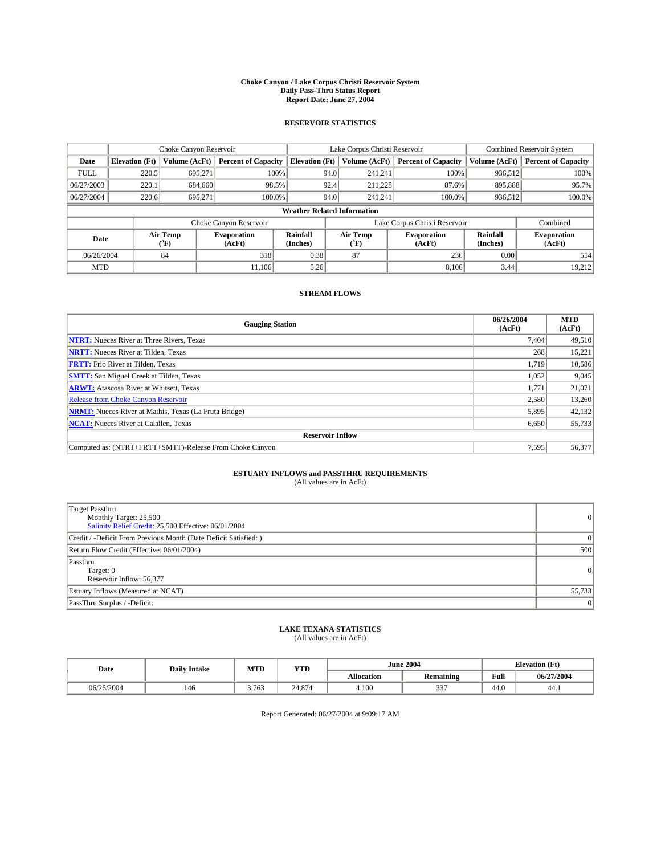#### **Choke Canyon / Lake Corpus Christi Reservoir System Daily Pass-Thru Status Report Report Date: June 27, 2004**

#### **RESERVOIR STATISTICS**

|             | Choke Canyon Reservoir             |                             |                              |                             | Lake Corpus Christi Reservoir |                  |                               |                             | Combined Reservoir System    |  |
|-------------|------------------------------------|-----------------------------|------------------------------|-----------------------------|-------------------------------|------------------|-------------------------------|-----------------------------|------------------------------|--|
| Date        | <b>Elevation</b> (Ft)              | Volume (AcFt)               | <b>Percent of Capacity</b>   | <b>Elevation</b> (Ft)       |                               | Volume (AcFt)    | <b>Percent of Capacity</b>    | Volume (AcFt)               | <b>Percent of Capacity</b>   |  |
| <b>FULL</b> | 220.5                              | 695,271                     |                              | 100%                        | 94.0                          | 241,241          | 100%                          | 936.512                     | 100%                         |  |
| 06/27/2003  | 220.1                              | 684,660                     | 98.5%                        |                             | 92.4                          | 211.228          | 87.6%                         | 895,888                     | 95.7%                        |  |
| 06/27/2004  | 220.6                              | 695.271                     | 100.0%                       |                             | 94.0                          | 241.241          | $100.0\%$                     | 936,512                     | 100.0%                       |  |
|             | <b>Weather Related Information</b> |                             |                              |                             |                               |                  |                               |                             |                              |  |
|             |                                    |                             | Choke Canyon Reservoir       |                             |                               |                  | Lake Corpus Christi Reservoir |                             | Combined                     |  |
| Date        |                                    | Air Temp<br>${}^{\circ}$ F) | <b>Evaporation</b><br>(AcFt) | <b>Rainfall</b><br>(Inches) |                               | Air Temp<br>("F) | <b>Evaporation</b><br>(AcFt)  | <b>Rainfall</b><br>(Inches) | <b>Evaporation</b><br>(AcFt) |  |
| 06/26/2004  |                                    | 84                          | 318                          | 0.38                        |                               | 87               | 236                           | 0.00                        | 554                          |  |
| <b>MTD</b>  |                                    |                             | 11.106                       | 5.26                        |                               |                  | 8.106                         | 3.44                        | 19,212                       |  |

### **STREAM FLOWS**

| <b>Gauging Station</b>                                       | 06/26/2004<br>(AcFt) | <b>MTD</b><br>(AcFt) |
|--------------------------------------------------------------|----------------------|----------------------|
| <b>NTRT:</b> Nueces River at Three Rivers, Texas             | 7.404                | 49,510               |
| <b>NRTT:</b> Nueces River at Tilden, Texas                   | 268                  | 15.221               |
| <b>FRTT:</b> Frio River at Tilden, Texas                     | 1,719                | 10,586               |
| <b>SMTT:</b> San Miguel Creek at Tilden, Texas               | 1,052                | 9,045                |
| <b>ARWT:</b> Atascosa River at Whitsett, Texas               | 1,771                | 21,071               |
| <b>Release from Choke Canyon Reservoir</b>                   | 2,580                | 13,260               |
| <b>NRMT:</b> Nueces River at Mathis, Texas (La Fruta Bridge) | 5,895                | 42,132               |
| <b>NCAT:</b> Nueces River at Calallen, Texas                 | 6,650                | 55,733               |
| <b>Reservoir Inflow</b>                                      |                      |                      |
| Computed as: (NTRT+FRTT+SMTT)-Release From Choke Canvon      | 7.595                | 56,377               |

## **ESTUARY INFLOWS and PASSTHRU REQUIREMENTS**<br>(All values are in AcFt)

| Target Passthru<br>Monthly Target: 25,500                        | $\Omega$ |
|------------------------------------------------------------------|----------|
| Salinity Relief Credit: 25,500 Effective: 06/01/2004             |          |
| Credit / -Deficit From Previous Month (Date Deficit Satisfied: ) |          |
| Return Flow Credit (Effective: 06/01/2004)                       | 500      |
| Passthru<br>Target: 0<br>Reservoir Inflow: 56,377                | $\Omega$ |
| Estuary Inflows (Measured at NCAT)                               | 55,733   |
| PassThru Surplus / -Deficit:                                     | 0        |

# **LAKE TEXANA STATISTICS** (All values are in AcFt)

| Date       | <b>Daily Intake</b> | MTD   | <b>YTD</b>              |                   | <b>June 2004</b> | <b>Elevation</b> (Ft) |            |
|------------|---------------------|-------|-------------------------|-------------------|------------------|-----------------------|------------|
|            |                     |       |                         | <b>Allocation</b> | <b>Remaining</b> | Full                  | 06/27/2004 |
| 06/26/2004 | 146                 | 3,763 | O74<br>$\sim$<br>24.879 | 4.100             | 227<br>33        | 44.0                  | 44.1       |

Report Generated: 06/27/2004 at 9:09:17 AM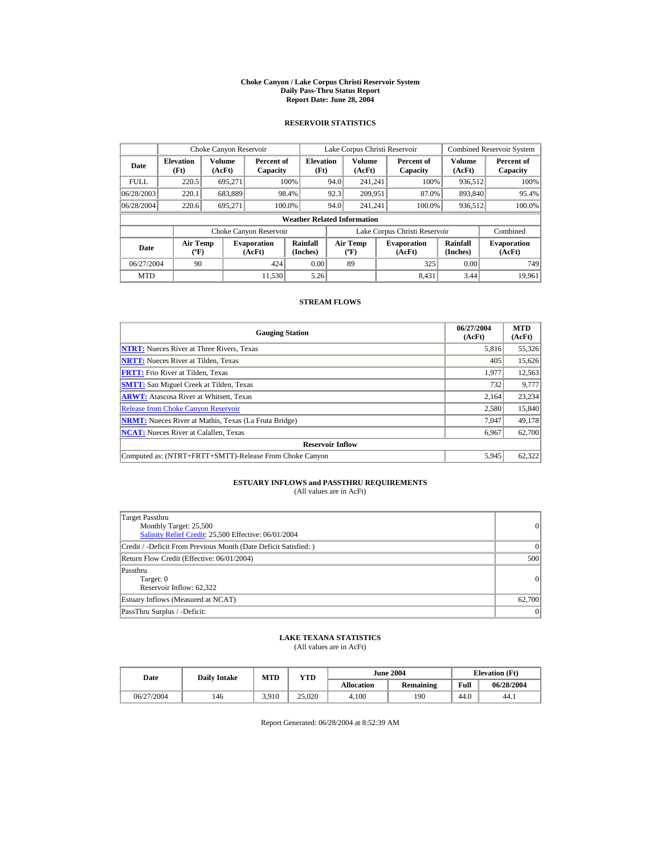#### **Choke Canyon / Lake Corpus Christi Reservoir System Daily Pass-Thru Status Report Report Date: June 28, 2004**

#### **RESERVOIR STATISTICS**

|             | Choke Canyon Reservoir                      |                  |                              |                          | Lake Corpus Christi Reservoir |                                             |  |                               |                      | Combined Reservoir System    |
|-------------|---------------------------------------------|------------------|------------------------------|--------------------------|-------------------------------|---------------------------------------------|--|-------------------------------|----------------------|------------------------------|
| Date        | <b>Elevation</b><br>(Ft)                    | Volume<br>(AcFt) | Percent of<br>Capacity       | <b>Elevation</b><br>(Ft) |                               | Volume<br>(AcFt)                            |  | Percent of<br>Capacity        | Volume<br>(AcFt)     | Percent of<br>Capacity       |
| <b>FULL</b> | 220.5                                       | 695.271          |                              | 100%                     | 94.0                          | 241.241                                     |  | 100%                          | 936,512              | 100%                         |
| 06/28/2003  | 220.1                                       | 683,889          |                              | 98.4%                    | 92.3                          | 209,951                                     |  | 87.0%                         | 893,840              | 95.4%                        |
| 06/28/2004  | 220.6                                       | 695.271          | 100.0%                       |                          | 94.0                          | 241.241                                     |  | 100.0%                        | 936,512              | 100.0%                       |
|             | <b>Weather Related Information</b>          |                  |                              |                          |                               |                                             |  |                               |                      |                              |
|             |                                             |                  | Choke Canyon Reservoir       |                          |                               |                                             |  | Lake Corpus Christi Reservoir |                      | Combined                     |
| Date        | <b>Air Temp</b><br>$({}^{\circ}\mathrm{F})$ |                  | <b>Evaporation</b><br>(AcFt) | Rainfall<br>(Inches)     |                               | <b>Air Temp</b><br>$({}^{\circ}\mathrm{F})$ |  | <b>Evaporation</b><br>(AcFt)  | Rainfall<br>(Inches) | <b>Evaporation</b><br>(AcFt) |
| 06/27/2004  | 90                                          |                  | 424                          | 0.00                     |                               | 89                                          |  | 325                           | 0.00                 | 749                          |
| <b>MTD</b>  |                                             |                  | 11.530                       | 5.26                     |                               |                                             |  | 8.431                         | 3.44                 | 19,961                       |

#### **STREAM FLOWS**

| <b>Gauging Station</b>                                       | 06/27/2004<br>(AcFt) | <b>MTD</b><br>(AcFt) |
|--------------------------------------------------------------|----------------------|----------------------|
| <b>NTRT:</b> Nueces River at Three Rivers, Texas             | 5,816                | 55,326               |
| <b>NRTT:</b> Nueces River at Tilden, Texas                   | 405                  | 15,626               |
| <b>FRTT:</b> Frio River at Tilden, Texas                     | 1,977                | 12,563               |
| <b>SMTT:</b> San Miguel Creek at Tilden, Texas               | 732                  | 9,777                |
| <b>ARWT:</b> Atascosa River at Whitsett, Texas               | 2,164                | 23,234               |
| <b>Release from Choke Canyon Reservoir</b>                   | 2,580                | 15,840               |
| <b>NRMT:</b> Nueces River at Mathis, Texas (La Fruta Bridge) | 7.047                | 49,178               |
| <b>NCAT:</b> Nueces River at Calallen, Texas                 | 6,967                | 62,700               |
| <b>Reservoir Inflow</b>                                      |                      |                      |
| Computed as: (NTRT+FRTT+SMTT)-Release From Choke Canyon      | 5.945                | 62,322               |

### **ESTUARY INFLOWS and PASSTHRU REQUIREMENTS**<br>(All values are in AcFt)

| Target Passthru<br>Monthly Target: 25,500<br>Salinity Relief Credit: 25,500 Effective: 06/01/2004 | 0               |
|---------------------------------------------------------------------------------------------------|-----------------|
| Credit / -Deficit From Previous Month (Date Deficit Satisfied:)                                   | $\vert$ 0       |
| Return Flow Credit (Effective: 06/01/2004)                                                        | 500             |
| Passthru<br>Target: 0<br>Reservoir Inflow: 62.322                                                 | 0               |
| Estuary Inflows (Measured at NCAT)                                                                | 62,700          |
| PassThru Surplus / -Deficit:                                                                      | $\vert 0 \vert$ |

#### **LAKE TEXANA STATISTICS**

(All values are in AcFt)

| Date       | <b>Daily Intake</b> | MTD   | $_{\rm VTD}$ |            | <b>June 2004</b> | <b>Elevation</b> (Ft) |            |
|------------|---------------------|-------|--------------|------------|------------------|-----------------------|------------|
|            |                     |       |              | Allocation | Remaining        | Full                  | 06/28/2004 |
| 06/27/2004 | 146                 | 3.910 | 25,020       | 4.100      | 190              | 44.0                  | 44.1       |

Report Generated: 06/28/2004 at 8:52:39 AM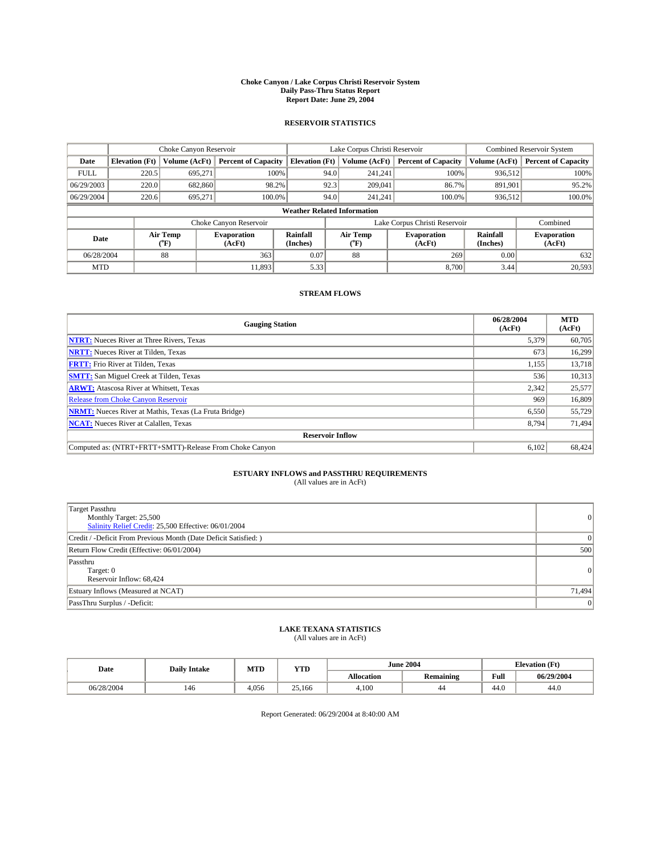#### **Choke Canyon / Lake Corpus Christi Reservoir System Daily Pass-Thru Status Report Report Date: June 29, 2004**

#### **RESERVOIR STATISTICS**

|             | Choke Canyon Reservoir             |                  |                              |                             | Lake Corpus Christi Reservoir |                  |                               |                             | Combined Reservoir System    |  |  |
|-------------|------------------------------------|------------------|------------------------------|-----------------------------|-------------------------------|------------------|-------------------------------|-----------------------------|------------------------------|--|--|
| Date        | <b>Elevation</b> (Ft)              | Volume (AcFt)    | <b>Percent of Capacity</b>   | <b>Elevation</b> (Ft)       |                               | Volume (AcFt)    | <b>Percent of Capacity</b>    | Volume (AcFt)               | <b>Percent of Capacity</b>   |  |  |
| <b>FULL</b> | 220.5                              | 695,271          |                              | 100%                        | 94.0                          | 241,241          | 100%                          | 936.512                     | 100%                         |  |  |
| 06/29/2003  | 220.0                              | 682,860          | 98.2%                        |                             | 92.3                          | 209,041          | 86.7%                         | 891.901                     | 95.2%                        |  |  |
| 06/29/2004  | 220.6                              | 695.271          | 100.0%                       |                             | 94.0                          | 241.241          | $100.0\%$                     | 936,512                     | 100.0%                       |  |  |
|             | <b>Weather Related Information</b> |                  |                              |                             |                               |                  |                               |                             |                              |  |  |
|             |                                    |                  | Choke Canyon Reservoir       |                             |                               |                  | Lake Corpus Christi Reservoir |                             | Combined                     |  |  |
| Date        |                                    | Air Temp<br>(°F) | <b>Evaporation</b><br>(AcFt) | <b>Rainfall</b><br>(Inches) |                               | Air Temp<br>("F) | <b>Evaporation</b><br>(AcFt)  | <b>Rainfall</b><br>(Inches) | <b>Evaporation</b><br>(AcFt) |  |  |
| 06/28/2004  |                                    | 88               | 363                          | 0.07                        |                               | 88               | 269                           | 0.00                        | 632                          |  |  |
| <b>MTD</b>  |                                    |                  | 11,893                       | 5.33                        |                               |                  | 8.700                         | 3.44                        | 20,593                       |  |  |

### **STREAM FLOWS**

| <b>Gauging Station</b>                                       | 06/28/2004<br>(AcFt) | <b>MTD</b><br>(AcFt) |
|--------------------------------------------------------------|----------------------|----------------------|
| <b>NTRT:</b> Nueces River at Three Rivers, Texas             | 5,379                | 60,705               |
| <b>NRTT:</b> Nueces River at Tilden, Texas                   | 673                  | 16.299               |
| <b>FRTT:</b> Frio River at Tilden, Texas                     | 1,155                | 13,718               |
| <b>SMTT:</b> San Miguel Creek at Tilden, Texas               | 536                  | 10,313               |
| <b>ARWT:</b> Atascosa River at Whitsett, Texas               | 2,342                | 25,577               |
| <b>Release from Choke Canyon Reservoir</b>                   | 969                  | 16,809               |
| <b>NRMT:</b> Nueces River at Mathis, Texas (La Fruta Bridge) | 6,550                | 55,729               |
| <b>NCAT:</b> Nueces River at Calallen, Texas                 | 8,794                | 71,494               |
| <b>Reservoir Inflow</b>                                      |                      |                      |
| Computed as: (NTRT+FRTT+SMTT)-Release From Choke Canyon      | 6,102                | 68,424               |

## **ESTUARY INFLOWS and PASSTHRU REQUIREMENTS**<br>(All values are in AcFt)

| Target Passthru<br>Monthly Target: 25,500<br>Salinity Relief Credit: 25,500 Effective: 06/01/2004 | $\Omega$ |
|---------------------------------------------------------------------------------------------------|----------|
| Credit / -Deficit From Previous Month (Date Deficit Satisfied: )                                  |          |
| Return Flow Credit (Effective: 06/01/2004)                                                        | 500      |
| Passthru<br>Target: 0<br>Reservoir Inflow: 68,424                                                 | $\Omega$ |
| Estuary Inflows (Measured at NCAT)                                                                | 71,494   |
| PassThru Surplus / -Deficit:                                                                      | 0        |

## **LAKE TEXANA STATISTICS** (All values are in AcFt)

| Date       | <b>Daily Intake</b> | MTD   | <b>YTD</b> |                   | <b>June 2004</b>              | <b>Elevation</b> (Ft) |            |
|------------|---------------------|-------|------------|-------------------|-------------------------------|-----------------------|------------|
|            |                     |       |            | <b>Allocation</b> | $\cdot$ .<br><b>Remaining</b> | Full                  | 06/29/2004 |
| 06/28/2004 | 146                 | 4,056 | 25,166     | 4.100             | 44                            | $\sim$<br>44.U        | 44.0       |

Report Generated: 06/29/2004 at 8:40:00 AM